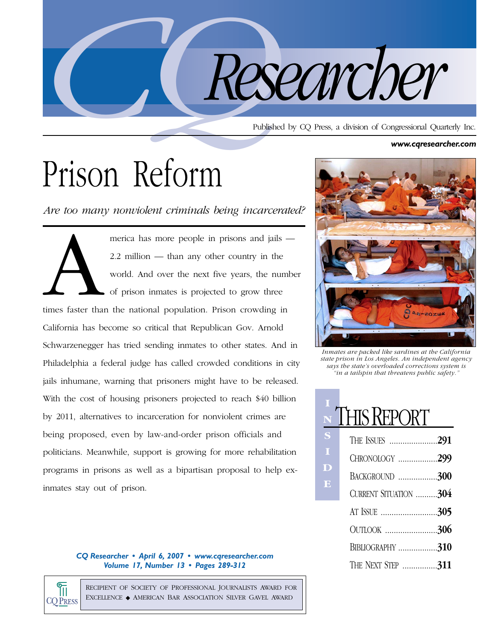

Published by CQ Press, a division of Congressional Quarterly Inc.

#### *www.cqresearcher.com*

# Prison Reform

*Are too many nonviolent criminals being incarcerated?*

merica has more people in prisons and jails —<br>2.2 million — than any other country in the<br>world. And over the next five years, the number<br>of prison inmates is projected to grow three<br>times faster than the national populati 2.2 million — than any other country in the world. And over the next five years, the number of prison inmates is projected to grow three times faster than the national population. Prison crowding in California has become so critical that Republican Gov. Arnold Schwarzenegger has tried sending inmates to other states. And in Philadelphia a federal judge has called crowded conditions in city jails inhumane, warning that prisoners might have to be released. With the cost of housing prisoners projected to reach \$40 billion by 2011, alternatives to incarceration for nonviolent crimes are being proposed, even by law-and-order prison officials and politicians. Meanwhile, support is growing for more rehabilitation programs in prisons as well as a bipartisan proposal to help exinmates stay out of prison.

#### *CQ Researcher • April 6, 2007 • www.cqresearcher.com Volume 17, Number 13 • Pages 289-312*



RECIPIENT OF SOCIETY OF PROFESSIONAL JOURNALISTS AWARD FOR EXCELLENCE ◆ AMERICAN BAR ASSOCIATION SILVER GAVEL AWARD



*Inmates are packed like sardines at the California state prison in Los Angeles. An independent agency says the state's overloaded corrections system is "in a tailspin that threatens public safety."*

| N           | <b>THIS REPORT</b>      |  |
|-------------|-------------------------|--|
| S           | THE ISSUES 291          |  |
| $\mathbf T$ | CHRONOLOGY 299          |  |
| E           | BACKGROUND 300          |  |
|             | CURRENT SITUATION 304   |  |
|             | AT ISSUE 305            |  |
|             | OUTLOOK 306             |  |
|             | <b>BIBLIOGRAPHY</b> 310 |  |
|             | THE NEXT STEP 311       |  |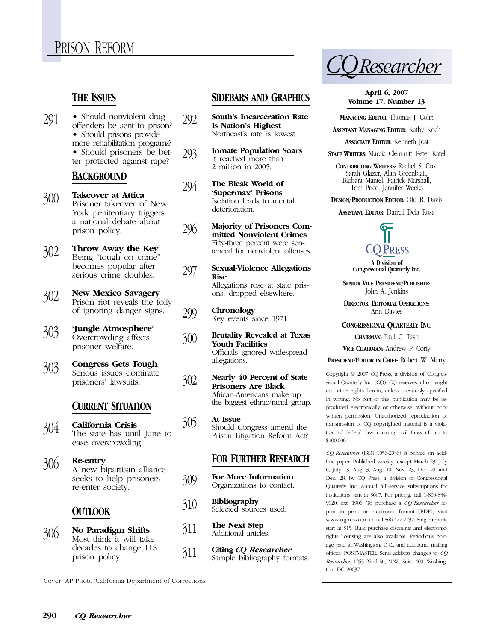# **THE ISSUES**

291 • Should nonviolent drug offenders be sent to prison? • Should prisons provide more rehabilitation programs? • Should prisoners be better protected against rape?

# **BACKGROUND**

- 300 **Takeover at Attica** Prisoner takeover of New York penitentiary triggers a national debate about prison policy.
- 302 **Throw Away the Key** Being "tough on crime" becomes popular after serious crime doubles.
- 302 **New Mexico Savagery** Prison riot reveals the folly of ignoring danger signs.
- 303 **'Jungle Atmosphere'** Overcrowding affects prisoner welfare.
- 303 **Congress Gets Tough** Serious issues dominate prisoners' lawsuits.

# **CURRENT SITUATION**

- 304 **California Crisis** The state has until June to ease overcrowding.
- 306 **Re-entry** A new bipartisan alliance seeks to help prisoners re-enter society.

# **OUTLOOK**

306 **No Paradigm Shifts** Most think it will take decades to change U.S. prison policy.

Cover: AP Photo/California Department of Corrections

## **SIDEBARS AND GRAPHICS**

- 292 **South's Incarceration Rate Is Nation's Highest** Northeast's rate is lowest.
- 293 **Inmate Population Soars** It reached more than 2 million in 2005.

294 **The Bleak World of 'Supermax' Prisons** Isolation leads to mental

296 **Majority of Prisoners Committed Nonviolent Crimes** Fifty-three percent were sentenced for nonviolent offenses.

deterioration.

#### 297 **Sexual-Violence Allegations Rise** Allegations rose at state pris-

ons, dropped elsewhere.

299 **Chronology** Key events since 1971.

- 300 **Brutality Revealed at Texas Youth Facilities** Officials ignored widespread allegations.
- 302 **Nearly 40 Percent of State Prisoners Are Black** African-Americans make up the biggest ethnic/racial group.
- 305 **At Issue** Should Congress amend the Prison Litigation Reform Act?

### **FOR FURTHER RESEARCH**

- 309 **For More Information** Organizations to contact.
- 310 **Bibliography** Selected sources used.
- 311 **The Next Step** Additional articles.
- 311 **Citing** *CQ Researcher* Sample bibliography formats.

*CQResearcher*

**April 6, 2007 Volume 17, Number 13**

**MANAGING EDITOR:** Thomas J. Colin

**ASSISTANT MANAGING EDITOR:** Kathy Koch

**ASSOCIATE EDITOR:** Kenneth Jost

**STAFF WRITERS:** Marcia Clemmitt, Peter Katel

**CONTRIBUTING WRITERS:** Rachel S. Cox, Sarah Glazer, Alan Greenblatt, Barbara Mantel, Patrick Marshall, Tom Price, Jennifer Weeks

**DESIGN/PRODUCTION EDITOR:** Olu B. Davis

**ASSISTANT EDITOR:** Darrell Dela Rosa



**A Division of Congressional Quarterly Inc.**

**SENIOR VICE PRESIDENT/PUBLISHER:** John A. Jenkins

**DIRECTOR, EDITORIAL OPERATIONS:** Ann Davies

#### **CONGRESSIONAL QUARTERLY INC.**

**CHAIRMAN:** Paul C. Tash

**VICE CHAIRMAN:** Andrew P. Corty

**PRESIDENT/EDITOR IN CHIEF:** Robert W. Merry

Copyright © 2007 CQ Press, a division of Congressional Quarterly Inc. (CQ). CQ reserves all copyright and other rights herein, unless previously specified in writing. No part of this publication may be reproduced electronically or otherwise, without prior written permission. Unauthorized reproduction or transmission of CQ copyrighted material is a violation of federal law carrying civil fines of up to \$100,000.

*CQ Researcher* (ISSN 1056-2036) is printed on acidfree paper. Published weekly, except March 23, July 6, July 13, Aug. 3, Aug. 10, Nov. 23, Dec. 21 and Dec. 28, by CQ Press, a division of Congressional Quarterly Inc. Annual full-service subscriptions for institutions start at \$667. For pricing, call 1-800-834- 9020, ext. 1906. To purchase a *CQ Researcher* report in print or electronic format (PDF), visit www.cqpress.com or call 866-427-7737. Single reports start at \$15. Bulk purchase discounts and electronicrights licensing are also available. Periodicals postage paid at Washington, D.C., and additional mailing offices. POSTMASTER: Send address changes to *CQ Researcher*, 1255 22nd St., N.W., Suite 400, Washington, DC 20037.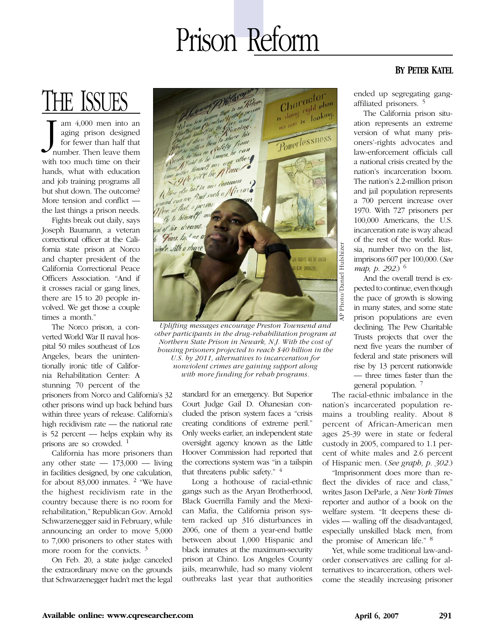# Prison Reform

# THE ISSUES

I am 4,000 men into an aging prison designed<br>for fewer than half that<br>number. Then leave them am 4,000 men into an aging prison designed for fewer than half that with too much time on their hands, what with education and job training programs all but shut down. The outcome? More tension and conflict the last things a prison needs.

Fights break out daily, says Joseph Baumann, a veteran correctional officer at the California state prison at Norco and chapter president of the California Correctional Peace Officers Association. "And if it crosses racial or gang lines, there are 15 to 20 people involved. We get those a couple times a month."

The Norco prison, a converted World War II naval hospital 50 miles southeast of Los Angeles, bears the unintentionally ironic title of California Rehabilitation Center: A stunning 70 percent of the

prisoners from Norco and California's 32 other prisons wind up back behind bars within three years of release. California's high recidivism rate — the national rate is 52 percent — helps explain why its prisons are so crowded. <sup>1</sup>

California has more prisoners than any other state  $- 173,000 - 1$  living in facilities designed, by one calculation, for about 83,000 inmates. <sup>2</sup> "We have the highest recidivism rate in the country because there is no room for rehabilitation," Republican Gov. Arnold Schwarzenegger said in February, while announcing an order to move 5,000 to 7,000 prisoners to other states with more room for the convicts.<sup>3</sup>

On Feb. 20, a state judge canceled the extraordinary move on the grounds that Schwarzenegger hadn't met the legal



*Uplifting messages encourage Preston Townsend and other participants in the drug-rehabilitation program at Northern State Prison in Newark, N.J. With the cost of housing prisoners projected to reach \$40 billion in the U.S. by 2011, alternatives to incarceration for nonviolent crimes are gaining support along with more funding for rehab programs.*

standard for an emergency. But Superior Court Judge Gail D. Ohanesian concluded the prison system faces a "crisis creating conditions of extreme peril." Only weeks earlier, an independent state oversight agency known as the Little Hoover Commission had reported that the corrections system was "in a tailspin that threatens public safety."  $4$ 

Long a hothouse of racial-ethnic gangs such as the Aryan Brotherhood, Black Guerrilla Family and the Mexican Mafia, the California prison system racked up 316 disturbances in 2006, one of them a year-end battle between about 1,000 Hispanic and black inmates at the maximum-security prison at Chino. Los Angeles County jails, meanwhile, had so many violent outbreaks last year that authorities

# **BY PETER KATEL**

ended up segregating gangaffiliated prisoners. <sup>5</sup>

The California prison situation represents an extreme version of what many prisoners'-rights advocates and law-enforcement officials call a national crisis created by the nation's incarceration boom. The nation's 2.2-million prison and jail population represents a 700 percent increase over 1970. With 727 prisoners per 100,000 Americans, the U.S. incarceration rate is way ahead of the rest of the world. Russia, number two on the list, imprisons 607 per 100,000. (*See map, p. 292.*) <sup>6</sup>

And the overall trend is expected to continue, even though the pace of growth is slowing in many states, and some state prison populations are even declining. The Pew Charitable Trusts projects that over the next five years the number of federal and state prisoners will rise by 13 percent nationwide — three times faster than the general population. <sup>7</sup>

AP Photo/Daniel Hulshizer

The racial-ethnic imbalance in the nation's incarcerated population remains a troubling reality. About 8 percent of African-American men ages 25-39 were in state or federal custody in 2005, compared to 1.1 percent of white males and 2.6 percent of Hispanic men. (*See graph, p. 302.*)

"Imprisonment does more than reflect the divides of race and class," writes Jason DeParle, a *New York Times* reporter and author of a book on the welfare system. "It deepens these divides — walling off the disadvantaged, especially unskilled black men, from the promise of American life." <sup>8</sup>

Yet, while some traditional law-andorder conservatives are calling for alternatives to incarceration, others welcome the steadily increasing prisoner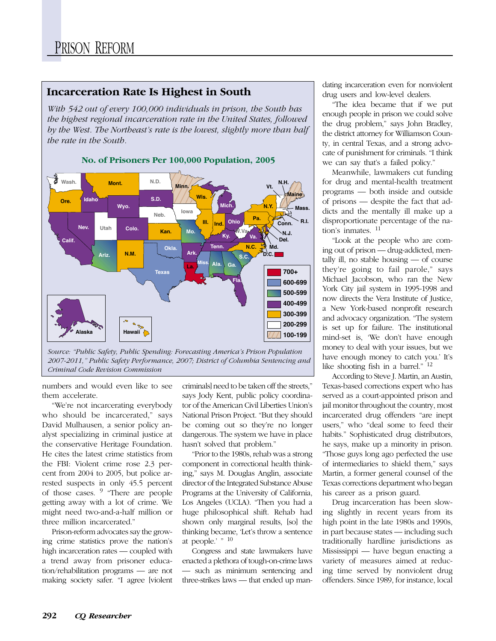## **Incarceration Rate Is Highest in South**

*With 542 out of every 100,000 individuals in prison, the South has the highest regional incarceration rate in the United States, followed by the West. The Northeast's rate is the lowest, slightly more than half the rate in the South.*





numbers and would even like to see them accelerate.

"We're not incarcerating everybody who should be incarcerated," says David Mulhausen, a senior policy analyst specializing in criminal justice at the conservative Heritage Foundation. He cites the latest crime statistics from the FBI: Violent crime rose 2.3 percent from 2004 to 2005, but police arrested suspects in only 45.5 percent of those cases. <sup>9</sup> "There are people getting away with a lot of crime. We might need two-and-a-half million or three million incarcerated."

Prison-reform advocates say the growing crime statistics prove the nation's high incarceration rates — coupled with a trend away from prisoner education/rehabilitation programs — are not making society safer. "I agree [violent

criminals] need to be taken off the streets," says Jody Kent, public policy coordinator of the American Civil Liberties Union's National Prison Project. "But they should be coming out so they're no longer dangerous. The system we have in place hasn't solved that problem."

"Prior to the 1980s, rehab was a strong component in correctional health thinking," says M. Douglas Anglin, associate director of the Integrated Substance Abuse Programs at the University of California, Los Angeles (UCLA). "Then you had a huge philosophical shift. Rehab had shown only marginal results, [so] the thinking became, 'Let's throw a sentence at people.' " 10

Congress and state lawmakers have enacted a plethora of tough-on-crime laws — such as minimum sentencing and three-strikes laws — that ended up mandating incarceration even for nonviolent drug users and low-level dealers.

"The idea became that if we put enough people in prison we could solve the drug problem," says John Bradley, the district attorney for Williamson County, in central Texas, and a strong advocate of punishment for criminals. "I think we can say that's a failed policy."

Meanwhile, lawmakers cut funding for drug and mental-health treatment programs — both inside and outside of prisons — despite the fact that addicts and the mentally ill make up a disproportionate percentage of the nation's inmates. <sup>11</sup>

"Look at the people who are coming out of prison — drug-addicted, mentally ill, no stable housing — of course they're going to fail parole," says Michael Jacobson, who ran the New York City jail system in 1995-1998 and now directs the Vera Institute of Justice, a New York-based nonprofit research and advocacy organization. "The system is set up for failure. The institutional mind-set is, 'We don't have enough money to deal with your issues, but we have enough money to catch you.' It's like shooting fish in a barrel." <sup>12</sup>

According to Steve J. Martin, an Austin, Texas-based corrections expert who has served as a court-appointed prison and jail monitor throughout the country, most incarcerated drug offenders "are inept users," who "deal some to feed their habits." Sophisticated drug distributors, he says, make up a minority in prison. "Those guys long ago perfected the use of intermediaries to shield them," says Martin, a former general counsel of the Texas corrections department who began his career as a prison guard.

Drug incarceration has been slowing slightly in recent years from its high point in the late 1980s and 1990s, in part because states — including such traditionally hardline jurisdictions as Mississippi — have begun enacting a variety of measures aimed at reducing time served by nonviolent drug offenders. Since 1989, for instance, local

*Source: "Public Safety, Public Spending: Forecasting America's Prison Population 2007-2011," Public Safety Performance, 2007; District of Columbia Sentencing and Criminal Code Revision Commission*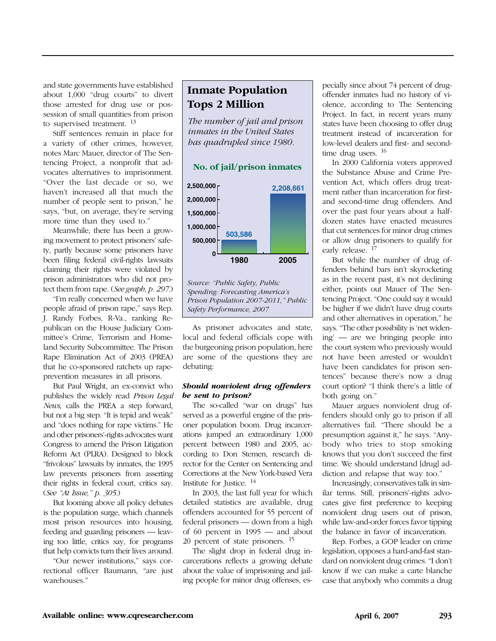and state governments have established about 1,000 "drug courts" to divert those arrested for drug use or possession of small quantities from prison to supervised treatment. <sup>13</sup>

Stiff sentences remain in place for a variety of other crimes, however, notes Marc Mauer, director of The Sentencing Project, a nonprofit that advocates alternatives to imprisonment. "Over the last decade or so, we haven't increased all that much the number of people sent to prison," he says, "but, on average, they're serving more time than they used to."

Meanwhile, there has been a growing movement to protect prisoners' safety, partly because some prisoners have been filing federal civil-rights lawsuits claiming their rights were violated by prison administrators who did not protect them from rape. (*See graph, p. 297.*)

"I'm really concerned when we have people afraid of prison rape," says Rep. J. Randy Forbes, R-Va., ranking Republican on the House Judiciary Committee's Crime, Terrorism and Homeland Security Subcommittee. The Prison Rape Elimination Act of 2003 (PREA) that he co-sponsored ratchets up rapeprevention measures in all prisons.

But Paul Wright, an ex-convict who publishes the widely read *Prison Legal News*, calls the PREA a step forward, but not a big step. "It is tepid and weak" and "does nothing for rape victims." He and other prisoners'-rights advocates want Congress to amend the Prison Litigation Reform Act (PLRA). Designed to block "frivolous" lawsuits by inmates, the 1995 law prevents prisoners from asserting their rights in federal court, critics say. (*See "At Issue," p. 305.*)

But looming above all policy debates is the population surge, which channels most prison resources into housing, feeding and guarding prisoners — leaving too little, critics say, for programs that help convicts turn their lives around.

"Our newer institutions," says correctional officer Baumann, "are just warehouses."

# **Inmate Population Tops 2 Million**

*The number of jail and prison inmates in the United States has quadrupled since 1980.*



#### *Source: "Public Safety, Public Spending: Forecasting America's Prison Population 2007-2011," Public Safety Performance, 2007*

As prisoner advocates and state, local and federal officials cope with the burgeoning prison population, here are some of the questions they are debating:

#### *Should nonviolent drug offenders be sent to prison?*

The so-called "war on drugs" has served as a powerful engine of the prisoner population boom. Drug incarcerations jumped an extraordinary 1,000 percent between 1980 and 2005, according to Don Stemen, research director for the Center on Sentencing and Corrections at the New York-based Vera Institute for Justice. <sup>14</sup>

In 2003, the last full year for which detailed statistics are available, drug offenders accounted for 55 percent of federal prisoners — down from a high of 60 percent in 1995 — and about 20 percent of state prisoners. <sup>15</sup>

The slight drop in federal drug incarcerations reflects a growing debate about the value of imprisoning and jailing people for minor drug offenses, especially since about 74 percent of drugoffender inmates had no history of violence, according to The Sentencing Project. In fact, in recent years many states have been choosing to offer drug treatment instead of incarceration for low-level dealers and first- and secondtime drug users. <sup>16</sup>

In 2000 California voters approved the Substance Abuse and Crime Prevention Act, which offers drug treatment rather than incarceration for firstand second-time drug offenders. And over the past four years about a halfdozen states have enacted measures that cut sentences for minor drug crimes or allow drug prisoners to qualify for early release.<sup>17</sup>

But while the number of drug offenders behind bars isn't skyrocketing as in the recent past, it's not declining either, points out Mauer of The Sentencing Project. "One could say it would be higher if we didn't have drug courts and other alternatives in operation," he says. "The other possibility is 'net widening' — are we bringing people into the court system who previously would not have been arrested or wouldn't have been candidates for prison sentences" because there's now a drug court option? "I think there's a little of both going on."

Mauer argues nonviolent drug offenders should only go to prison if all alternatives fail. "There should be a presumption against it," he says. "Anybody who tries to stop smoking knows that you don't succeed the first time. We should understand [drug] addiction and relapse that way too."

Increasingly, conservatives talk in similar terms. Still, prisoners'-rights advocates give first preference to keeping nonviolent drug users out of prison, while law-and-order forces favor tipping the balance in favor of incarceration.

Rep. Forbes, a GOP leader on crime legislation, opposes a hard-and-fast standard on nonviolent drug crimes. "I don't know if we can make a carte blanche case that anybody who commits a drug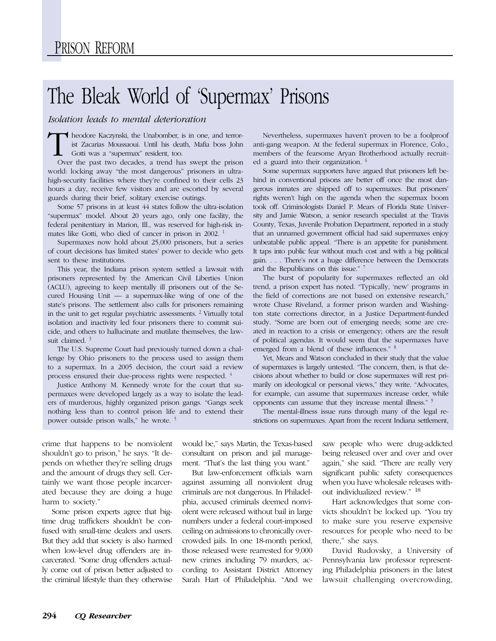# The Bleak World of 'Supermax' Prisons

*Isolation leads to mental deterioration*

Theodore Kaczynski, the Unabomber, is in one, and terrorist Zacarias Moussaoui. Until his death, Mafia boss John Gotti was a "supermax" resident, too.

Over the past two decades, a trend has swept the prison world: locking away "the most dangerous" prisoners in ultrahigh-security facilities where they're confined to their cells 23 hours a day, receive few visitors and are escorted by several guards during their brief, solitary exercise outings.

Some 57 prisons in at least 44 states follow the ultra-isolation "supermax" model. About 20 years ago, only one facility, the federal penitentiary in Marion, Ill., was reserved for high-risk inmates like Gotti, who died of cancer in prison in 2002.<sup>1</sup>

Supermaxes now hold about 25,000 prisoners, but a series of court decisions has limited states' power to decide who gets sent to these institutions.

This year, the Indiana prison system settled a lawsuit with prisoners represented by the American Civil Liberties Union (ACLU), agreeing to keep mentally ill prisoners out of the Secured Housing Unit — a supermax-like wing of one of the state's prisons. The settlement also calls for prisoners remaining in the unit to get regular psychiatric assessments.  $2$  Virtually total isolation and inactivity led four prisoners there to commit suicide, and others to hallucinate and mutilate themselves, the lawsuit claimed.<sup>3</sup>

The U.S. Supreme Court had previously turned down a challenge by Ohio prisoners to the process used to assign them to a supermax. In a 2005 decision, the court said a review process ensured their due-process rights were respected. 4

Justice Anthony M. Kennedy wrote for the court that supermaxes were developed largely as a way to isolate the leaders of murderous, highly organized prison gangs. "Gangs seek nothing less than to control prison life and to extend their power outside prison walls," he wrote. 5

Nevertheless, supermaxes haven't proven to be a foolproof anti-gang weapon. At the federal supermax in Florence, Colo., members of the fearsome Aryan Brotherhood actually recruited a guard into their organization.  $6$ 

Some supermax supporters have argued that prisoners left behind in conventional prisons are better off once the most dangerous inmates are shipped off to supermaxes. But prisoners' rights weren't high on the agenda when the supermax boom took off. Criminologists Daniel P. Mears of Florida State University and Jamie Watson, a senior research specialist at the Travis County, Texas, Juvenile Probation Department, reported in a study that an unnamed government official had said supermaxes enjoy unbeatable public appeal. "There is an appetite for punishment. It taps into public fear without much cost and with a big political gain. . . . There's not a huge difference between the Democrats and the Republicans on this issue." <sup>7</sup>

The burst of popularity for supermaxes reflected an old trend, a prison expert has noted. "Typically, 'new' programs in the field of corrections are not based on extensive research," wrote Chase Riveland, a former prison warden and Washington state corrections director, in a Justice Department-funded study. "Some are born out of emerging needs; some are created in reaction to a crisis or emergency; others are the result of political agendas. It would seem that the supermaxes have emerged from a blend of these influences."

Yet, Mears and Watson concluded in their study that the value of supermaxes is largely untested. "The concern, then, is that decisions about whether to build or close supermaxes will rest primarily on ideological or personal views," they write. "Advocates, for example, can assume that supermaxes increase order, while opponents can assume that they increase mental illness." <sup>9</sup>

The mental-illness issue runs through many of the legal restrictions on supermaxes. Apart from the recent Indiana settlement,

crime that happens to be nonviolent shouldn't go to prison," he says. "It depends on whether they're selling drugs and the amount of drugs they sell. Certainly we want those people incarcerated because they are doing a huge harm to society."

Some prison experts agree that bigtime drug traffickers shouldn't be confused with small-time dealers and users. But they add that society is also harmed when low-level drug offenders are incarcerated. "Some drug offenders actually come out of prison better adjusted to the criminal lifestyle than they otherwise

would be," says Martin, the Texas-based consultant on prison and jail management. "That's the last thing you want."

But law-enforcement officials warn against assuming all nonviolent drug criminals are not dangerous. In Philadelphia, accused criminals deemed nonviolent were released without bail in large numbers under a federal court-imposed ceiling on admissions to chronically overcrowded jails. In one 18-month period, those released were rearrested for 9,000 new crimes including 79 murders, according to Assistant District Attorney Sarah Hart of Philadelphia. "And we

saw people who were drug-addicted being released over and over and over again," she said. "There are really very significant public safety consequences when you have wholesale releases without individualized review." <sup>18</sup>

Hart acknowledges that some convicts shouldn't be locked up. "You try to make sure you reserve expensive resources for people who need to be there," she says.

David Rudovsky, a University of Pennsylvania law professor representing Philadelphia prisoners in the latest lawsuit challenging overcrowding,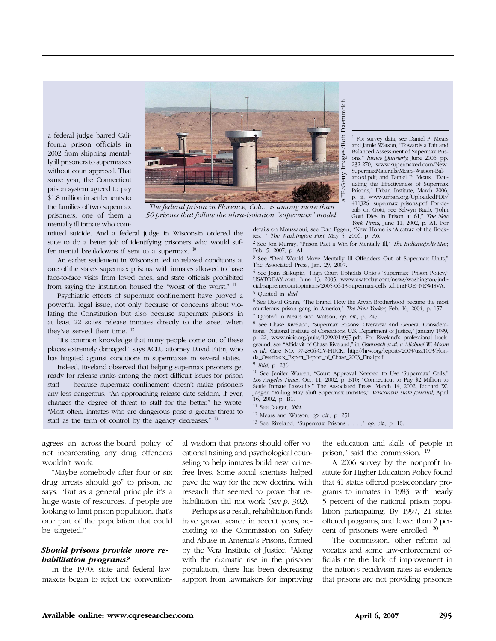

a federal judge barred California prison officials in 2002 from shipping mentally ill prisoners to supermaxes without court approval. That same year, the Connecticut prison system agreed to pay \$1.8 million in settlements to the families of two supermax prisoners, one of them a mentally ill inmate who com-

*The federal prison in Florence, Colo., is among more than 50 prisons that follow the ultra-isolation "supermax" model.*

mitted suicide. And a federal judge in Wisconsin ordered the state to do a better job of identifying prisoners who would suffer mental breakdowns if sent to a supermax.  $10$ 

An earlier settlement in Wisconsin led to relaxed conditions at one of the state's supermax prisons, with inmates allowed to have face-to-face visits from loved ones, and state officials prohibited from saying the institution housed the "worst of the worst." <sup>11</sup>

Psychiatric effects of supermax confinement have proved a powerful legal issue, not only because of concerns about violating the Constitution but also because supermax prisons in at least 22 states release inmates directly to the street when they've served their time. 12

"It's common knowledge that many people come out of these places extremely damaged," says ACLU attorney David Fathi, who has litigated against conditions in supermaxes in several states.

Indeed, Riveland observed that helping supermax prisoners get ready for release ranks among the most difficult issues for prison staff — because supermax confinement doesn't make prisoners any less dangerous. "An approaching release date seldom, if ever, changes the degree of threat to staff for the better," he wrote. "Most often, inmates who are dangerous pose a greater threat to staff as the term of control by the agency decreases."  $13$ 

<sup>1</sup> For survey data, see Daniel P. Mears and Jamie Watson, "Towards a Fair and Balanced Assessment of Supermax Prisons," *Justice Quarterly*, June 2006, pp. 232-270, www.supermaxed.com/New-SupermaxMaterials/Mears-Watson-Balanced.pdf; and Daniel P. Mears, "Evaluating the Effectiveness of Supermax Prisons," Urban Institute, March 2006, p. ii, www.urban.org/UploadedPDF/ 411326 \_supermax\_prisons.pdf. For details on Gotti, see Selwyn Raab, "John Gotti Dies in Prison at 61," *The New York Times*, June 11, 2002, p. A1. For

details on Moussaoui, see Dan Eggen, "New Home is 'Alcatraz of the Rockies,' " *The Washington Post*, May 5, 2006. p. A6.

<sup>2</sup> See Jon Murray, "Prison Pact a Win for Mentally Ill," *The Indianapolis Star*, Feb. 5, 2007, p. A1.

<sup>3</sup> See "Deal Would Move Mentally Ill Offenders Out of Supermax Units," The Associated Press, Jan. 29, 2007.

<sup>4</sup> See Joan Biskupic, "High Court Upholds Ohio's 'Supermax' Prison Policy," USATODAY.com, June 13, 2005, www.usatoday.com/news/washington/judicial/supremecourtopinions/2005-06-13-supermax-cells\_x.htm?POE=NEWISVA. <sup>5</sup> Quoted in *ibid.*

<sup>6</sup> See David Grann, "The Brand: How the Aryan Brotherhood became the most murderous prison gang in America," *The New Yorker*, Feb. 16, 2004, p. 157.

<sup>7</sup> Quoted in Mears and Watson, *op. cit.*, p. 247.

<sup>8</sup> See Chase Riveland, "Supermax Prisons: Overview and General Considerations," National Institute of Corrections, U.S. Department of Justice," January 1999, p. 22, www.nicic.org/pubs/1999/014937.pdf. For Riveland's professional background, see "Affidavit of Chase Riveland," in *Osterback et al. v. Michael W. Moore et al.*, Case NO. 97-2806-CIV-HUCK, http://hrw.org/reports/2003/usa1003/Florida\_Osterback\_Expert\_Report\_of\_Chase\_2003\_Final.pdf.

<sup>9</sup> *Ibid*, p. 236.

<sup>10</sup> See Jenifer Warren, "Court Approval Needed to Use 'Supermax' Cells," *Los Angeles Times*, Oct. 11, 2002, p. B10; "Connecticut to Pay \$2 Million to Settle Inmate Lawsuits," The Associated Press, March 14, 2002; Richard W. Jaeger, "Ruling May Shift Supermax Inmates," *Wisconsin State Journal*, April 16, 2002, p. B1.

<sup>11</sup> See Jaeger, *ibid.*

<sup>12</sup> Mears and Watson, *op. cit.*, p. 251.

<sup>13</sup> See Riveland, "Supermax Prisons . . . ," *op. cit.*, p. 10.

agrees an across-the-board policy of not incarcerating any drug offenders wouldn't work.

"Maybe somebody after four or six drug arrests should go" to prison, he says. "But as a general principle it's a huge waste of resources. If people are looking to limit prison population, that's one part of the population that could be targeted."

#### *Should prisons provide more rehabilitation programs?*

In the 1970s state and federal lawmakers began to reject the conventional wisdom that prisons should offer vocational training and psychological counseling to help inmates build new, crimefree lives. Some social scientists helped pave the way for the new doctrine with research that seemed to prove that rehabilitation did not work (*see p. 302*).

Perhaps as a result, rehabilitation funds have grown scarce in recent years, according to the Commission on Safety and Abuse in America's Prisons, formed by the Vera Institute of Justice. "Along with the dramatic rise in the prisoner population, there has been decreasing support from lawmakers for improving the education and skills of people in prison," said the commission. <sup>19</sup>

A 2006 survey by the nonprofit Institute for Higher Education Policy found that 41 states offered postsecondary programs to inmates in 1983, with nearly 5 percent of the national prison population participating. By 1997, 21 states offered programs, and fewer than 2 percent of prisoners were enrolled. <sup>20</sup>

The commission, other reform advocates and some law-enforcement officials cite the lack of improvement in the nation's recidivism rates as evidence that prisons are not providing prisoners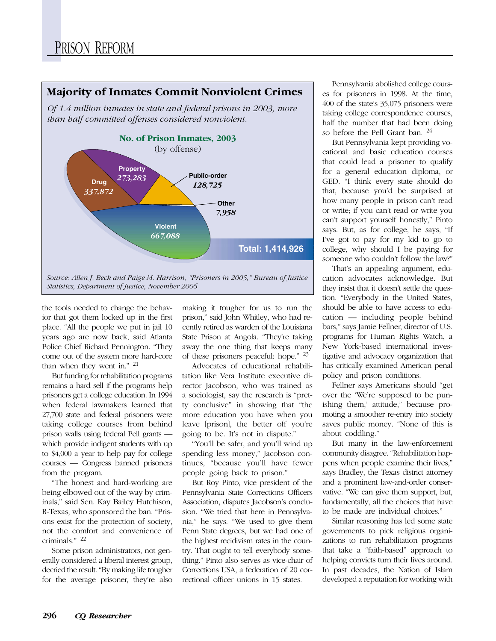# **Majority of Inmates Commit Nonviolent Crimes**

*Of 1.4 million inmates in state and federal prisons in 2003, more than half committed offenses considered nonviolent.*



the tools needed to change the behavior that got them locked up in the first place. "All the people we put in jail 10 years ago are now back, said Atlanta Police Chief Richard Pennington. "They come out of the system more hard-core than when they went in." <sup>21</sup>

But funding for rehabilitation programs remains a hard sell if the programs help prisoners get a college education. In 1994 when federal lawmakers learned that 27,700 state and federal prisoners were taking college courses from behind prison walls using federal Pell grants which provide indigent students with up to \$4,000 a year to help pay for college courses — Congress banned prisoners from the program.

"The honest and hard-working are being elbowed out of the way by criminals," said Sen. Kay Bailey Hutchison, R-Texas, who sponsored the ban. "Prisons exist for the protection of society, not the comfort and convenience of criminals." <sup>22</sup>

Some prison administrators, not generally considered a liberal interest group, decried the result. "By making life tougher for the average prisoner, they're also

making it tougher for us to run the prison," said John Whitley, who had recently retired as warden of the Louisiana State Prison at Angola. "They're taking away the one thing that keeps many of these prisoners peaceful: hope." <sup>23</sup>

Advocates of educational rehabilitation like Vera Institute executive director Jacobson, who was trained as a sociologist, say the research is "pretty conclusive" in showing that "the more education you have when you leave [prison], the better off you're going to be. It's not in dispute."

"You'll be safer, and you'll wind up spending less money," Jacobson continues, "because you'll have fewer people going back to prison."

But Roy Pinto, vice president of the Pennsylvania State Corrections Officers Association, disputes Jacobson's conclusion. "We tried that here in Pennsylvania," he says. "We used to give them Penn State degrees, but we had one of the highest recidivism rates in the country. That ought to tell everybody something." Pinto also serves as vice-chair of Corrections USA, a federation of 20 correctional officer unions in 15 states.

Pennsylvania abolished college courses for prisoners in 1998. At the time, 400 of the state's 35,075 prisoners were taking college correspondence courses, half the number that had been doing so before the Pell Grant ban. <sup>24</sup>

But Pennsylvania kept providing vocational and basic education courses that could lead a prisoner to qualify for a general education diploma, or GED. "I think every state should do that, because you'd be surprised at how many people in prison can't read or write; if you can't read or write you can't support yourself honestly," Pinto says. But, as for college, he says, "If I've got to pay for my kid to go to college, why should I be paying for someone who couldn't follow the law?"

That's an appealing argument, education advocates acknowledge. But they insist that it doesn't settle the question. "Everybody in the United States, should be able to have access to education — including people behind bars," says Jamie Fellner, director of U.S. programs for Human Rights Watch, a New York-based international investigative and advocacy organization that has critically examined American penal policy and prison conditions.

Fellner says Americans should "get over the 'We're supposed to be punishing them,' attitude," because promoting a smoother re-entry into society saves public money. "None of this is about coddling."

But many in the law-enforcement community disagree. "Rehabilitation happens when people examine their lives," says Bradley, the Texas district attorney and a prominent law-and-order conservative. "We can give them support, but, fundamentally, all the choices that have to be made are individual choices."

Similar reasoning has led some state governments to pick religious organizations to run rehabilitation programs that take a "faith-based" approach to helping convicts turn their lives around. In past decades, the Nation of Islam developed a reputation for working with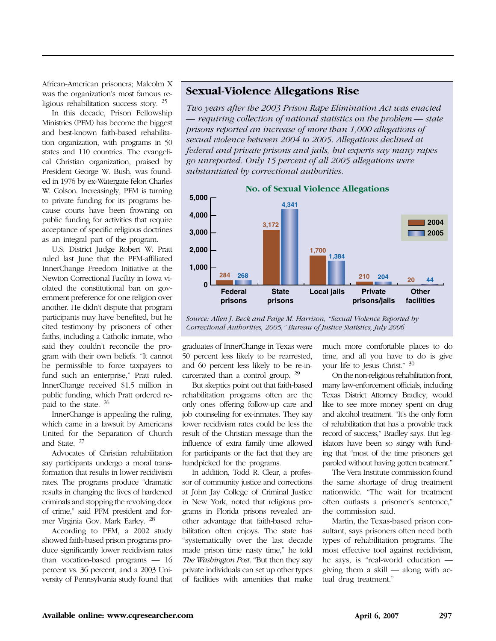African-American prisoners; Malcolm X was the organization's most famous religious rehabilitation success story. <sup>25</sup>

In this decade, Prison Fellowship Ministries (PFM) has become the biggest and best-known faith-based rehabilitation organization, with programs in 50 states and 110 countries. The evangelical Christian organization, praised by President George W. Bush, was founded in 1976 by ex-Watergate felon Charles W. Colson. Increasingly, PFM is turning to private funding for its programs because courts have been frowning on public funding for activities that require acceptance of specific religious doctrines as an integral part of the program.

U.S. District Judge Robert W. Pratt ruled last June that the PFM-affiliated InnerChange Freedom Initiative at the Newton Correctional Facility in Iowa violated the constitutional ban on government preference for one religion over another. He didn't dispute that program participants may have benefited, but he cited testimony by prisoners of other faiths, including a Catholic inmate, who said they couldn't reconcile the program with their own beliefs. "It cannot be permissible to force taxpayers to fund such an enterprise," Pratt ruled. InnerChange received \$1.5 million in public funding, which Pratt ordered repaid to the state. <sup>26</sup>

InnerChange is appealing the ruling, which came in a lawsuit by Americans United for the Separation of Church and State. <sup>27</sup>

Advocates of Christian rehabilitation say participants undergo a moral transformation that results in lower recidivism rates. The programs produce "dramatic results in changing the lives of hardened criminals and stopping the revolving door of crime," said PFM president and former Virginia Gov. Mark Earley. <sup>28</sup>

According to PFM, a 2002 study showed faith-based prison programs produce significantly lower recidivism rates than vocation-based programs — 16 percent vs. 36 percent, and a 2003 University of Pennsylvania study found that

## **Sexual-Violence Allegations Rise**

*Two years after the 2003 Prison Rape Elimination Act was enacted — requiring collection of national statistics on the problem — state prisons reported an increase of more than 1,000 allegations of sexual violence between 2004 to 2005. Allegations declined at federal and private prisons and jails, but experts say many rapes go unreported. Only 15 percent of all 2005 allegations were substantiated by correctional authorities.*



*Correctional Authorities, 2005," Bureau of Justice Statistics, July 2006*

graduates of InnerChange in Texas were 50 percent less likely to be rearrested, and 60 percent less likely to be re-incarcerated than a control group. <sup>29</sup>

But skeptics point out that faith-based rehabilitation programs often are the only ones offering follow-up care and job counseling for ex-inmates. They say lower recidivism rates could be less the result of the Christian message than the influence of extra family time allowed for participants or the fact that they are handpicked for the programs.

In addition, Todd R. Clear, a professor of community justice and corrections at John Jay College of Criminal Justice in New York, noted that religious programs in Florida prisons revealed another advantage that faith-based rehabilitation often enjoys. The state has "systematically over the last decade made prison time nasty time," he told *The Washington Post.* "But then they say private individuals can set up other types of facilities with amenities that make much more comfortable places to do time, and all you have to do is give your life to Jesus Christ." <sup>30</sup>

On the non-religious rehabilitation front, many law-enforcement officials, including Texas District Attorney Bradley, would like to see more money spent on drug and alcohol treatment. "It's the only form of rehabilitation that has a provable track record of success," Bradley says. But legislators have been so stingy with funding that "most of the time prisoners get paroled without having gotten treatment."

The Vera Institute commission found the same shortage of drug treatment nationwide. "The wait for treatment often outlasts a prisoner's sentence," the commission said.

Martin, the Texas-based prison consultant, says prisoners often need both types of rehabilitation programs. The most effective tool against recidivism, he says, is "real-world education giving them a skill — along with actual drug treatment."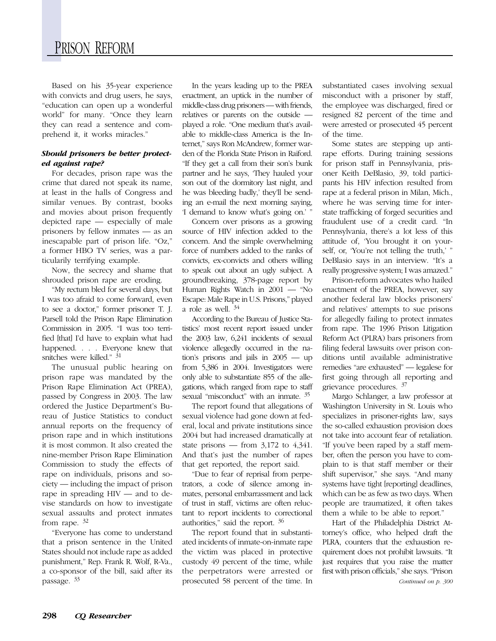Based on his 35-year experience with convicts and drug users, he says, "education can open up a wonderful world" for many. "Once they learn they can read a sentence and comprehend it, it works miracles."

#### *Should prisoners be better protected against rape?*

For decades, prison rape was the crime that dared not speak its name, at least in the halls of Congress and similar venues. By contrast, books and movies about prison frequently depicted rape — especially of male prisoners by fellow inmates — as an inescapable part of prison life. "Oz," a former HBO TV series, was a particularily terrifying example.

Now, the secrecy and shame that shrouded prison rape are eroding.

"My rectum bled for several days, but I was too afraid to come forward, even to see a doctor," former prisoner T. J. Parsell told the Prison Rape Elimination Commission in 2005. "I was too terrified [that] I'd have to explain what had happened. . . . Everyone knew that snitches were killed." <sup>31</sup>

The unusual public hearing on prison rape was mandated by the Prison Rape Elimination Act (PREA), passed by Congress in 2003. The law ordered the Justice Department's Bureau of Justice Statistics to conduct annual reports on the frequency of prison rape and in which institutions it is most common. It also created the nine-member Prison Rape Elimination Commission to study the effects of rape on individuals, prisons and society — including the impact of prison rape in spreading HIV — and to devise standards on how to investigate sexual assaults and protect inmates from rape. <sup>32</sup>

"Everyone has come to understand that a prison sentence in the United States should not include rape as added punishment," Rep. Frank R. Wolf, R-Va., a co-sponsor of the bill, said after its passage. <sup>33</sup>

In the years leading up to the PREA enactment, an uptick in the number of middle-class drug prisoners — with friends, relatives or parents on the outside played a role. "One medium that's available to middle-class America is the Internet," says Ron McAndrew, former warden of the Florida State Prison in Raiford. "If they get a call from their son's bunk partner and he says, 'They hauled your son out of the dormitory last night, and he was bleeding badly,' they'll be sending an e-mail the next morning saying, 'I demand to know what's going on.' "

Concern over prisons as a growing source of HIV infection added to the concern. And the simple overwhelming force of numbers added to the ranks of convicts, ex-convicts and others willing to speak out about an ugly subject. A groundbreaking, 378-page report by Human Rights Watch in 2001 — "No Escape: Male Rape in U.S. Prisons," played a role as well. <sup>34</sup>

According to the Bureau of Justice Statistics' most recent report issued under the 2003 law, 6,241 incidents of sexual violence allegedly occurred in the nation's prisons and jails in 2005 — up from 5,386 in 2004. Investigators were only able to substantiate 855 of the allegations, which ranged from rape to staff sexual "misconduct" with an inmate. <sup>35</sup>

The report found that allegations of sexual violence had gone down at federal, local and private institutions since 2004 but had increased dramatically at state prisons — from  $3,172$  to  $4,341$ . And that's just the number of rapes that get reported, the report said.

"Due to fear of reprisal from perpetrators, a code of silence among inmates, personal embarrassment and lack of trust in staff, victims are often reluctant to report incidents to correctional authorities," said the report. <sup>36</sup>

The report found that in substantiated incidents of inmate-on-inmate rape the victim was placed in protective custody 49 percent of the time, while the perpetrators were arrested or prosecuted 58 percent of the time. In substantiated cases involving sexual misconduct with a prisoner by staff, the employee was discharged, fired or resigned 82 percent of the time and were arrested or prosecuted 45 percent of the time.

Some states are stepping up antirape efforts. During training sessions for prison staff in Pennsylvania, prisoner Keith DeBlasio, 39, told participants his HIV infection resulted from rape at a federal prison in Milan, Mich., where he was serving time for interstate trafficking of forged securities and fraudulent use of a credit card. "In Pennsylvania, there's a lot less of this attitude of, 'You brought it on yourself, or, 'You're not telling the truth,' " DeBlasio says in an interview. "It's a really progressive system; I was amazed."

Prison-reform advocates who hailed enactment of the PREA, however, say another federal law blocks prisoners' and relatives' attempts to sue prisons for allegedly failing to protect inmates from rape. The 1996 Prison Litigation Reform Act (PLRA) bars prisoners from filing federal lawsuits over prison conditions until available administrative remedies "are exhausted" — legalese for first going through all reporting and grievance procedures. <sup>37</sup>

Margo Schlanger, a law professor at Washington University in St. Louis who specializes in prisoner-rights law, says the so-called exhaustion provision does not take into account fear of retaliation. "If you've been raped by a staff member, often the person you have to complain to is that staff member or their shift supervisor," she says. "And many systems have tight [reporting] deadlines, which can be as few as two days. When people are traumatized, it often takes them a while to be able to report."

Hart of the Philadelphia District Attorney's office, who helped draft the PLRA, counters that the exhaustion requirement does not prohibit lawsuits. "It just requires that you raise the matter first with prison officials," she says. "Prison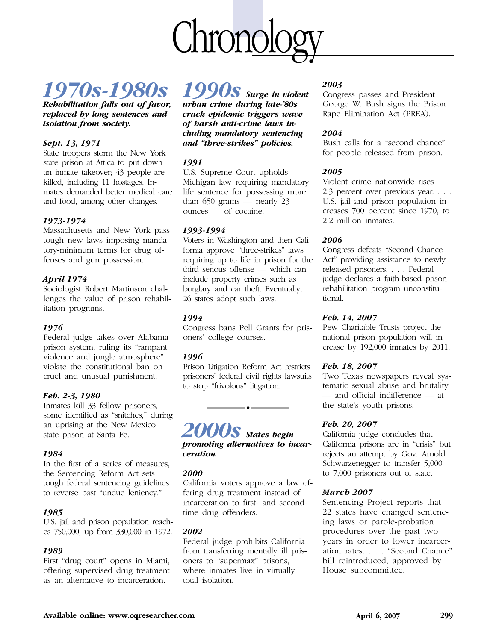

# *1970s-1980s*

*Rehabilitation falls out of favor, replaced by long sentences and isolation from society.*

#### *Sept. 13, 1971*

State troopers storm the New York state prison at Attica to put down an inmate takeover; 43 people are killed, including 11 hostages. Inmates demanded better medical care and food, among other changes.

#### *1973-1974*

Massachusetts and New York pass tough new laws imposing mandatory-minimum terms for drug offenses and gun possession.

#### *April 1974*

Sociologist Robert Martinson challenges the value of prison rehabilitation programs.

#### *1976*

Federal judge takes over Alabama prison system, ruling its "rampant violence and jungle atmosphere" violate the constitutional ban on cruel and unusual punishment.

#### *Feb. 2-3, 1980*

Inmates kill 33 fellow prisoners, some identified as "snitches," during an uprising at the New Mexico state prison at Santa Fe.

#### *1984*

In the first of a series of measures, the Sentencing Reform Act sets tough federal sentencing guidelines to reverse past "undue leniency."

#### *1985*

U.S. jail and prison population reaches 750,000, up from 330,000 in 1972.

#### *1989*

First "drug court" opens in Miami, offering supervised drug treatment as an alternative to incarceration.

# *1990s Surge in violent*

*urban crime during late-'80s crack epidemic triggers wave of harsh anti-crime laws including mandatory sentencing and "three-strikes" policies.*

#### *1991*

U.S. Supreme Court upholds Michigan law requiring mandatory life sentence for possessing more than  $650$  grams — nearly 23 ounces — of cocaine.

#### *1993-1994*

Voters in Washington and then California approve "three-strikes" laws requiring up to life in prison for the third serious offense — which can include property crimes such as burglary and car theft. Eventually, 26 states adopt such laws.

#### *1994*

Congress bans Pell Grants for prisoners' college courses.

#### *1996*

Prison Litigation Reform Act restricts prisoners' federal civil rights lawsuits to stop "frivolous" litigation.

•



#### *2000*

California voters approve a law offering drug treatment instead of incarceration to first- and secondtime drug offenders.

#### *2002*

Federal judge prohibits California from transferring mentally ill prisoners to "supermax" prisons, where inmates live in virtually total isolation.

#### *2003*

Congress passes and President George W. Bush signs the Prison Rape Elimination Act (PREA).

#### *2004*

Bush calls for a "second chance" for people released from prison.

#### *2005*

Violent crime nationwide rises 2.3 percent over previous year. . . . U.S. jail and prison population increases 700 percent since 1970, to 2.2 million inmates.

#### *2006*

Congress defeats "Second Chance Act" providing assistance to newly released prisoners. . . . Federal judge declares a faith-based prison rehabilitation program unconstitutional.

#### *Feb. 14, 2007*

Pew Charitable Trusts project the national prison population will increase by 192,000 inmates by 2011.

#### *Feb. 18, 2007*

Two Texas newspapers reveal systematic sexual abuse and brutality — and official indifference — at the state's youth prisons.

#### *Feb. 20, 2007*

California judge concludes that California prisons are in "crisis" but rejects an attempt by Gov. Arnold Schwarzenegger to transfer 5,000 to 7,000 prisoners out of state.

#### *March 2007*

Sentencing Project reports that 22 states have changed sentencing laws or parole-probation procedures over the past two years in order to lower incarceration rates. . . . "Second Chance" bill reintroduced, approved by House subcommittee.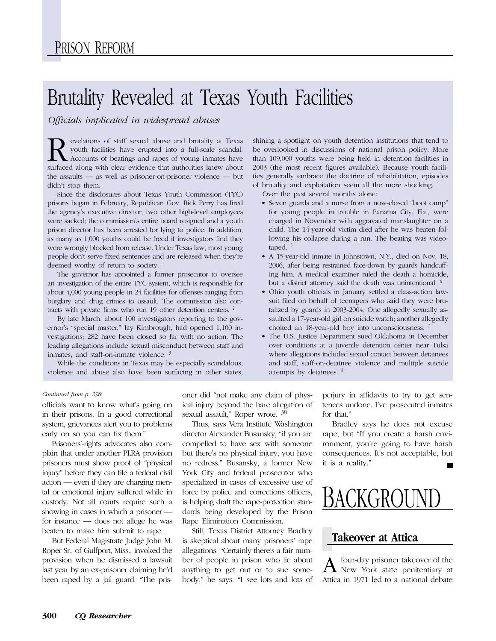# Brutality Revealed at Texas Youth Facilities

*Officials implicated in widespread abuses*

Revelations of staff sexual abuse and brutality at Texas youth facilities have erupted into a full-scale scandal.<br>Accounts of beatings and rapes of young inmates have surfaced along with clear evidence that authorities kne youth facilities have erupted into a full-scale scandal. Accounts of beatings and rapes of young inmates have surfaced along with clear evidence that authorities knew about the assaults — as well as prisoner-on-prisoner violence — but didn't stop them.

Since the disclosures about Texas Youth Commission (TYC) prisons began in February, Republican Gov. Rick Perry has fired the agency's executive director; two other high-level employees were sacked; the commission's entire board resigned and a youth prison director has been arrested for lying to police. In addition, as many as 1,000 youths could be freed if investigators find they were wrongly blocked from release. Under Texas law, most young people don't serve fixed sentences and are released when they're deemed worthy of return to society.

The governor has appointed a former prosecutor to oversee an investigation of the entire TYC system, which is responsible for about 4,000 young people in 24 facilities for offenses ranging from burglary and drug crimes to assault. The commission also contracts with private firms who run 19 other detention centers.<sup>2</sup>

By late March, about 100 investigators reporting to the governor's "special master," Jay Kimbrough, had opened 1,100 investigations; 282 have been closed so far with no action. The leading allegations include sexual misconduct between staff and inmates, and staff-on-inmate violence.  $3$ 

While the conditions in Texas may be especially scandalous, violence and abuse also have been surfacing in other states,

shining a spotlight on youth detention institutions that tend to be overlooked in discussions of national prison policy. More than 109,000 youths were being held in detention facilities in 2003 (the most recent figures available). Because youth facilities generally embrace the doctrine of rehabilitation, episodes of brutality and exploitation seem all the more shocking. 4

Over the past several months alone:

- Seven guards and a nurse from a now-closed "boot camp" for young people in trouble in Panama City, Fla., were charged in November with aggravated manslaughter on a child. The 14-year-old victim died after he was beaten following his collapse during a run. The beating was videotaped. $5$
- A 15-year-old inmate in Johnstown, N.Y., died on Nov. 18, 2006, after being restrained face-down by guards handcuffing him. A medical examiner ruled the death a homicide, but a district attorney said the death was unintentional.<sup>6</sup>
- Ohio youth officials in January settled a class-action lawsuit filed on behalf of teenagers who said they were brutalized by guards in 2003-2004. One allegedly sexually assaulted a 17-year-old girl on suicide watch; another allegedly choked an 18-year-old boy into unconsciousness. 7
- The U.S. Justice Department sued Oklahoma in December over conditions at a juvenile detention center near Tulsa where allegations included sexual contact between detainees and staff, staff-on-detainee violence and multiple suicide attempts by detainees. <sup>8</sup>

#### *Continued from p. 298*

officials want to know what's going on in their prisons. In a good correctional system, grievances alert you to problems early on so you can fix them."

Prisoners'-rights advocates also complain that under another PLRA provision prisoners must show proof of "physical injury" before they can file a federal civil action — even if they are charging mental or emotional injury suffered while in custody. Not all courts require such a showing in cases in which a prisoner for instance — does not allege he was beaten to make him submit to rape.

But Federal Magistrate Judge John M. Roper Sr., of Gulfport, Miss., invoked the provision when he dismissed a lawsuit last year by an ex-prisoner claiming he'd been raped by a jail guard. "The prisoner did "not make any claim of physical injury beyond the bare allegation of sexual assault," Roper wrote. <sup>38</sup>

Thus, says Vera Institute Washington director Alexander Busansky, "if you are compelled to have sex with someone but there's no physical injury, you have no redress." Busansky, a former New York City and federal prosecutor who specialized in cases of excessive use of force by police and corrections officers, is helping draft the rape-protection standards being developed by the Prison Rape Elimination Commission.

Still, Texas District Attorney Bradley is skeptical about many prisoners' rape allegations. "Certainly there's a fair number of people in prison who lie about anything to get out or to sue somebody," he says. "I see lots and lots of perjury in affidavits to try to get sentences undone. I've prosecuted inmates for that."

Bradley says he does not excuse rape, but "If you create a harsh environment, you're going to have harsh consequences. It's not acceptable, but it is a reality."

# CKGRC

# **Takeover at Attica**

Afour-day prisoner takeover of the New York state penitentiary at Attica in 1971 led to a national debate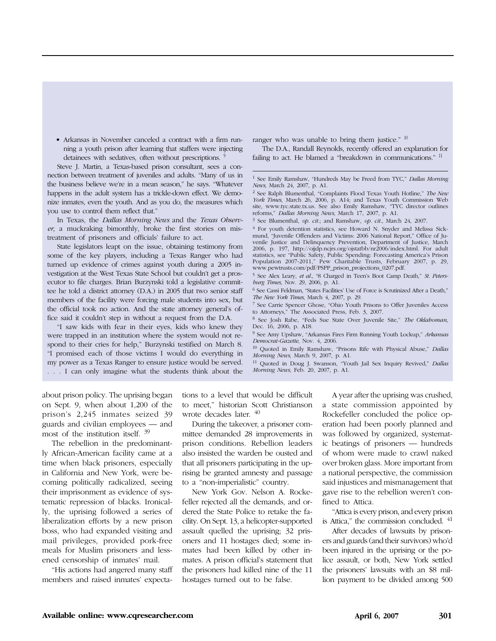• Arkansas in November canceled a contract with a firm running a youth prison after learning that staffers were injecting detainees with sedatives, often without prescriptions. 9

Steve J. Martin, a Texas-based prison consultant, sees a connection between treatment of juveniles and adults. "Many of us in the business believe we're in a mean season," he says. "Whatever happens in the adult system has a trickle-down effect. We demonize inmates, even the youth. And as you do, the measures which you use to control them reflect that."

In Texas, the *Dallas Morning News* and the *Texas Observer*, a muckraking bimonthly, broke the first stories on mistreatment of prisoners and officials' failure to act.

State legislators leapt on the issue, obtaining testimony from some of the key players, including a Texas Ranger who had turned up evidence of crimes against youth during a 2005 investigation at the West Texas State School but couldn't get a prosecutor to file charges. Brian Burzynski told a legislative committee he told a district attorney (D.A.) in 2005 that two senior staff members of the facility were forcing male students into sex, but the official took no action. And the state attorney general's office said it couldn't step in without a request from the D.A.

"I saw kids with fear in their eyes, kids who knew they were trapped in an institution where the system would not respond to their cries for help," Burzynski testified on March 8. "I promised each of those victims I would do everything in my power as a Texas Ranger to ensure justice would be served. . . . I can only imagine what the students think about the

ranger who was unable to bring them justice." <sup>10</sup>

The D.A., Randall Reynolds, recently offered an explanation for failing to act. He blamed a "breakdown in communications." <sup>11</sup>

 $4$  For youth detention statistics, see Howard N. Snyder and Melissa Sickmund, "Juvenile Offenders and Victims: 2006 National Report," Office of Juvenile Justice and Delinquency Prevention, Department of Justice, March 2006, p. 197, http://ojjdp.ncjrs.org/ojstatbb/nr2006/index.html. For adult statistics, see "Public Safety, Public Spending: Forecasting America's Prison Population 2007-2011," Pew Charitable Trusts, February 2007, p. 29, www.pewtrusts.com/pdf/PSPP\_prison\_projections\_0207.pdf.

<sup>5</sup> See Alex Leary, *et al.*, "8 Charged in Teen's Boot Camp Death," *St. Petersburg Times*, Nov. 29, 2006, p. A1.

<sup>6</sup> See Cassi Feldman, "States Facilities' Use of Force is Scrutinized After a Death," *The New York Times*, March 4, 2007, p. 29.

<sup>7</sup> See Carrie Spencer Ghose, "Ohio Youth Prisons to Offer Juveniles Access to Attorneys," The Associated Press, Feb. 3, 2007.

<sup>8</sup> See Josh Rabe, "Feds Sue State Over Juvenile Site," *The Oklahoman*, Dec. 16, 2006, p. A18.

<sup>9</sup> See Amy Upshaw, "Arkansas Fires Firm Running Youth Lockup," *Arkansas Democrat-Gazette*, Nov. 4, 2006.

<sup>10</sup> Quoted in Emily Ramshaw, "Prisons Rife with Physical Abuse," *Dallas Morning News*, March 9, 2007, p. A1.

<sup>11</sup> Quoted in Doug J. Swanson, "Youth Jail Sex Inquiry Revived," *Dallas Morning News*, Feb. 20, 2007, p. A1.

about prison policy. The uprising began on Sept. 9, when about 1,200 of the prison's 2,245 inmates seized 39 guards and civilian employees — and most of the institution itself. 39

The rebellion in the predominantly African-American facility came at a time when black prisoners, especially in California and New York, were becoming politically radicalized, seeing their imprisonment as evidence of systematic repression of blacks. Ironically, the uprising followed a series of liberalization efforts by a new prison boss, who had expanded visiting and mail privileges, provided pork-free meals for Muslim prisoners and lessened censorship of inmates' mail.

"His actions had angered many staff members and raised inmates' expectations to a level that would be difficult to meet," historian Scott Christianson wrote decades later.  $40$ 

During the takeover, a prisoner committee demanded 28 improvements in prison conditions. Rebellion leaders also insisted the warden be ousted and that all prisoners participating in the uprising be granted amnesty and passage to a "non-imperialistic" country.

New York Gov. Nelson A. Rockefeller rejected all the demands, and ordered the State Police to retake the facility. On Sept. 13, a helicopter-supported assault quelled the uprising; 32 prisoners and 11 hostages died; some inmates had been killed by other inmates. A prison official's statement that the prisoners had killed nine of the 11 hostages turned out to be false.

A year after the uprising was crushed, a state commission appointed by Rockefeller concluded the police operation had been poorly planned and was followed by organized, systematic beatings of prisoners — hundreds of whom were made to crawl naked over broken glass. More important from a national perspective, the commission said injustices and mismanagement that gave rise to the rebellion weren't confined to Attica.

"Attica is every prison, and every prison is Attica," the commission concluded. <sup>41</sup>

After decades of lawsuits by prisoners and guards (and their survivors) who'd been injured in the uprising or the police assault, or both, New York settled the prisoners' lawsuits with an \$8 million payment to be divided among 500

<sup>1</sup> See Emily Ramshaw, "Hundreds May be Freed from TYC," *Dallas Morning News*, March 24, 2007, p. A1.

<sup>2</sup> See Ralph Blumenthal, "Complaints Flood Texas Youth Hotline," *The New York Times*, March 26, 2006, p. A14; and Texas Youth Commission Web site, www.tyc.state.tx.us. See also Emily Ramshaw, "TYC director outlines reforms," *Dallas Morning News*, March 17, 2007, p. A1.

<sup>3</sup> See Blumenthal, *op. cit.*; and Ramshaw, *op. cit.*, March 24, 2007.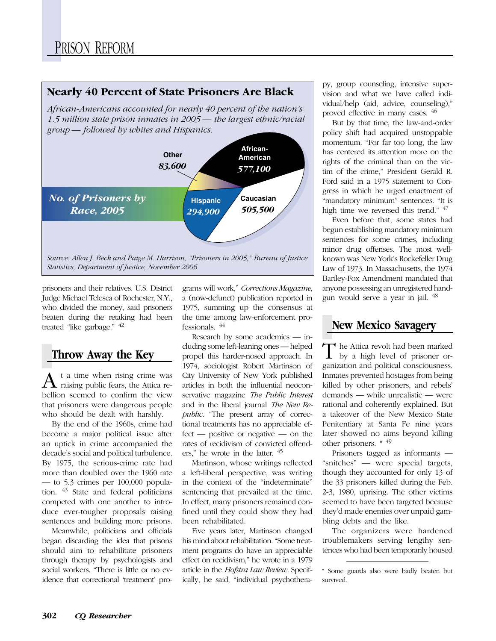

*African-Americans accounted for nearly 40 percent of the nation's 1.5 million state prison inmates in 2005 — the largest ethnic/racial group — followed by whites and Hispanics.*



prisoners and their relatives. U.S. District Judge Michael Telesca of Rochester, N.Y., who divided the money, said prisoners beaten during the retaking had been treated "like garbage." <sup>42</sup>

# **Throw Away the Key**

t a time when rising crime was raising public fears, the Attica rebellion seemed to confirm the view that prisoners were dangerous people who should be dealt with harshly.

By the end of the 1960s, crime had become a major political issue after an uptick in crime accompanied the decade's social and political turbulence. By 1975, the serious-crime rate had more than doubled over the 1960 rate — to  $5.3$  crimes per  $100,000$  population. <sup>43</sup> State and federal politicians competed with one another to introduce ever-tougher proposals raising sentences and building more prisons.

Meanwhile, politicians and officials began discarding the idea that prisons should aim to rehabilitate prisoners through therapy by psychologists and social workers. "There is little or no evidence that correctional 'treatment' programs will work," *Corrections Magazine*, a (now-defunct) publication reported in 1975, summing up the consensus at the time among law-enforcement professionals. <sup>44</sup>

Research by some academics — including some left-leaning ones — helped propel this harder-nosed approach. In 1974, sociologist Robert Martinson of City University of New York published articles in both the influential neoconservative magazine *The Public Interest* and in the liberal journal *The New Republic.* "The present array of correctional treatments has no appreciable effect — positive or negative — on the rates of recidivism of convicted offenders," he wrote in the latter. <sup>45</sup>

Martinson, whose writings reflected a left-liberal perspective, was writing in the context of the "indeterminate" sentencing that prevailed at the time. In effect, many prisoners remained confined until they could show they had been rehabilitated.

Five years later, Martinson changed his mind about rehabilitation. "Some treatment programs do have an appreciable effect on recidivism," he wrote in a 1979 article in the *Hofstra Law Review.* Specifically, he said, "individual psychotherapy, group counseling, intensive supervision and what we have called individual/help (aid, advice, counseling)," proved effective in many cases. <sup>46</sup>

But by that time, the law-and-order policy shift had acquired unstoppable momentum. "For far too long, the law has centered its attention more on the rights of the criminal than on the victim of the crime," President Gerald R. Ford said in a 1975 statement to Congress in which he urged enactment of "mandatory minimum" sentences. "It is high time we reversed this trend." <sup>47</sup>

Even before that, some states had begun establishing mandatory minimum sentences for some crimes, including minor drug offenses. The most wellknown was New York's Rockefeller Drug Law of 1973. In Massachusetts, the 1974 Bartley-Fox Amendment mandated that anyone possessing an unregistered handgun would serve a year in jail. <sup>48</sup>

# **New Mexico Savagery**

The Attica revolt had been marked<br>by a high level of prisoner organization and political consciousness. Inmates prevented hostages from being killed by other prisoners, and rebels' demands — while unrealistic — were rational and coherently explained. But a takeover of the New Mexico State Penitentiary at Santa Fe nine years later showed no aims beyond killing other prisoners. **\*** <sup>49</sup>

Prisoners tagged as informants — "snitches" — were special targets, though they accounted for only 13 of the 33 prisoners killed during the Feb. 2-3, 1980, uprising. The other victims seemed to have been targeted because they'd made enemies over unpaid gambling debts and the like.

The organizers were hardened troublemakers serving lengthy sentences who had been temporarily housed

<sup>\*</sup> Some guards also were badly beaten but survived.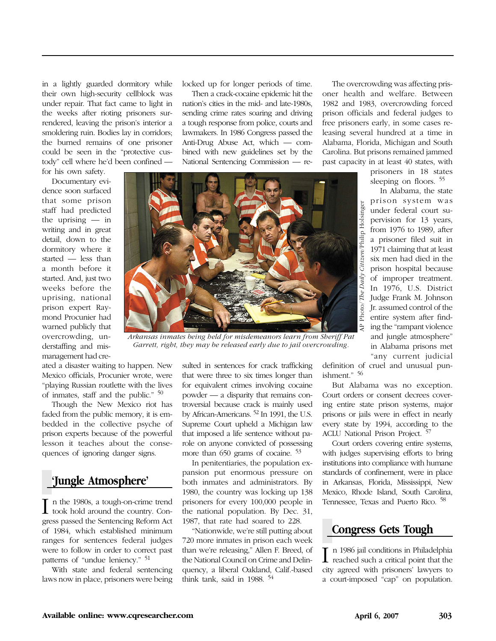in a lightly guarded dormitory while their own high-security cellblock was under repair. That fact came to light in the weeks after rioting prisoners surrendered, leaving the prison's interior a smoldering ruin. Bodies lay in corridors; the burned remains of one prisoner could be seen in the "protective custody" cell where he'd been confined —

for his own safety.

Documentary evidence soon surfaced that some prison staff had predicted the uprising — in writing and in great detail, down to the dormitory where it started — less than a month before it started. And, just two weeks before the uprising, national prison expert Raymond Procunier had warned publicly that overcrowding, understaffing and mismanagement had cre-

ated a disaster waiting to happen. New Mexico officials, Procunier wrote, were "playing Russian routlette with the lives of inmates, staff and the public." <sup>50</sup>

Though the New Mexico riot has faded from the public memory, it is embedded in the collective psyche of prison experts because of the powerful lesson it teaches about the consequences of ignoring danger signs.

# **'Jungle Atmosphere'**

I n the 1980s, a tough-on-crime trend took hold around the country. Congress passed the Sentencing Reform Act of 1984, which established minimum ranges for sentences federal judges were to follow in order to correct past patterns of "undue leniency." <sup>51</sup>

With state and federal sentencing laws now in place, prisoners were being locked up for longer periods of time.

Then a crack-cocaine epidemic hit the nation's cities in the mid- and late-1980s, sending crime rates soaring and driving a tough response from police, courts and lawmakers. In 1986 Congress passed the Anti-Drug Abuse Act, which — combined with new guidelines set by the National Sentencing Commission — re-



*Arkansas inmates being held for misdemeanors learn from Sheriff Pat Garrett, right, they may be released early due to jail overcrowding.*

sulted in sentences for crack trafficking that were three to six times longer than for equivalent crimes involving cocaine powder — a disparity that remains controversial because crack is mainly used by African-Americans. 52 In 1991, the U.S. Supreme Court upheld a Michigan law that imposed a life sentence without parole on anyone convicted of possessing more than 650 grams of cocaine. <sup>53</sup>

In penitentiaries, the population expansion put enormous pressure on both inmates and administrators. By 1980, the country was locking up 138 prisoners for every 100,000 people in the national population. By Dec. 31, 1987, that rate had soared to 228.

"Nationwide, we're still putting about 720 more inmates in prison each week than we're releasing," Allen F. Breed, of the National Council on Crime and Delinquency, a liberal Oakland, Calif.-based think tank, said in 1988. <sup>54</sup>

The overcrowding was affecting prisoner health and welfare. Between 1982 and 1983, overcrowding forced prison officials and federal judges to free prisoners early, in some cases releasing several hundred at a time in Alabama, Florida, Michigan and South Carolina. But prisons remained jammed past capacity in at least 40 states, with

> prisoners in 18 states sleeping on floors. <sup>55</sup>

In Alabama, the state prison system was under federal court supervision for 13 years, from 1976 to 1989, after a prisoner filed suit in 1971 claiming that at least six men had died in the prison hospital because of improper treatment. In 1976, U.S. District Judge Frank M. Johnson Jr. assumed control of the entire system after finding the "rampant violence and jungle atmosphere" in Alabama prisons met "any current judicial

definition of cruel and unusual punishment." <sup>56</sup>

But Alabama was no exception. Court orders or consent decrees covering entire state prison systems, major prisons or jails were in effect in nearly every state by 1994, according to the ACLU National Prison Project. <sup>57</sup>

Court orders covering entire systems, with judges supervising efforts to bring institutions into compliance with humane standards of confinement, were in place in Arkansas, Florida, Mississippi, New Mexico, Rhode Island, South Carolina, Tennessee, Texas and Puerto Rico. <sup>58</sup>

# **Congress Gets Tough**

I n 1986 jail conditions in Philadelphia<br>reached such a critical point that the city agreed with prisoners' lawyers to a court-imposed "cap" on population.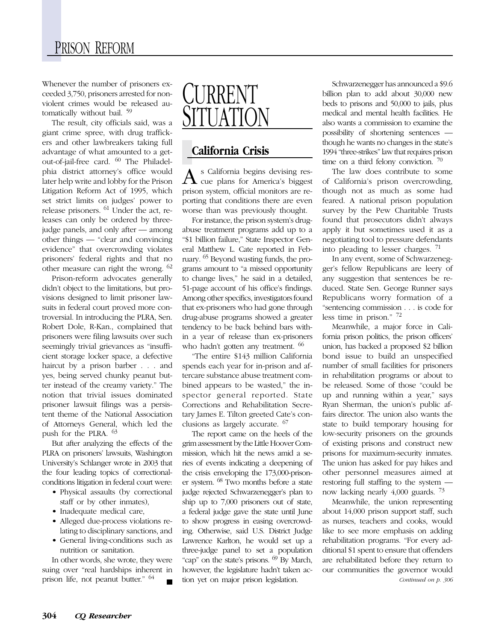Whenever the number of prisoners exceeded 3,750, prisoners arrested for nonviolent crimes would be released automatically without bail. <sup>59</sup>

The result, city officials said, was a giant crime spree, with drug traffickers and other lawbreakers taking full advantage of what amounted to a getout-of-jail-free card. <sup>60</sup> The Philadelphia district attorney's office would later help write and lobby for the Prison Litigation Reform Act of 1995, which set strict limits on judges' power to release prisoners. <sup>61</sup> Under the act, releases can only be ordered by threejudge panels, and only after — among other things — "clear and convincing evidence" that overcrowding violates prisoners' federal rights and that no other measure can right the wrong. <sup>62</sup>

Prison-reform advocates generally didn't object to the limitations, but provisions designed to limit prisoner lawsuits in federal court proved more controversial. In introducing the PLRA, Sen. Robert Dole, R-Kan., complained that prisoners were filing lawsuits over such seemingly trivial grievances as "insufficient storage locker space, a defective haircut by a prison barber . . . and yes, being served chunky peanut butter instead of the creamy variety." The notion that trivial issues dominated prisoner lawsuit filings was a persistent theme of the National Association of Attorneys General, which led the push for the PLRA. <sup>63</sup>

But after analyzing the effects of the PLRA on prisoners' lawsuits, Washington University's Schlanger wrote in 2003 that the four leading topics of correctionalconditions litigation in federal court were:

- Physical assaults (by correctional staff or by other inmates),
- Inadequate medical care,
- Alleged due-process violations relating to disciplinary sanctions, and
- General living-conditions such as nutrition or sanitation.

In other words, she wrote, they were suing over "real hardships inherent in prison life, not peanut butter." <sup>64</sup>



# **California Crisis**

As California begins devising res-cue plans for America's biggest prison system, official monitors are reporting that conditions there are even worse than was previously thought.

For instance, the prison system's drugabuse treatment programs add up to a "\$1 billion failure," State Inspector General Matthew L. Cate reported in February. 65 Beyond wasting funds, the programs amount to "a missed opportunity to change lives," he said in a detailed, 51-page account of his office's findings. Among other specifics, investigators found that ex-prisoners who had gone through drug-abuse programs showed a greater tendency to be back behind bars within a year of release than ex-prisoners who hadn't gotten any treatment. <sup>66</sup>

"The entire \$143 million California spends each year for in-prison and aftercare substance abuse treatment combined appears to be wasted," the inspector general reported. State Corrections and Rehabilitation Secretary James E. Tilton greeted Cate's conclusions as largely accurate. <sup>67</sup>

The report came on the heels of the grim assessment by the Little Hoover Commission, which hit the news amid a series of events indicating a deepening of the crisis enveloping the 173,000-prisoner system. <sup>68</sup> Two months before a state judge rejected Schwarzenegger's plan to ship up to 7,000 prisoners out of state, a federal judge gave the state until June to show progress in easing overcrowding. Otherwise, said U.S. District Judge Lawrence Karlton, he would set up a three-judge panel to set a population "cap" on the state's prisons.  $^{69}$  By March, however, the legislature hadn't taken action yet on major prison legislation.

Schwarzenegger has announced a \$9.6 billion plan to add about 30,000 new beds to prisons and 50,000 to jails, plus medical and mental health facilities. He also wants a commission to examine the possibility of shortening sentences though he wants no changes in the state's 1994 "three-strikes" law that requires prison time on a third felony conviction.  $70$ 

The law does contribute to some of California's prison overcrowding, though not as much as some had feared. A national prison population survey by the Pew Charitable Trusts found that prosecutors didn't always apply it but sometimes used it as a negotiating tool to pressure defendants into pleading to lesser charges. <sup>71</sup>

In any event, some of Schwarzenegger's fellow Republicans are leery of any suggestion that sentences be reduced. State Sen. George Runner says Republicans worry formation of a "sentencing commission . . . is code for less time in prison." <sup>72</sup>

Meanwhile, a major force in California prison politics, the prison officers' union, has backed a proposed \$2 billion bond issue to build an unspecified number of small facilities for prisoners in rehabilitation programs or about to be released. Some of those "could be up and running within a year," says Ryan Sherman, the union's public affairs director. The union also wants the state to build temporary housing for low-security prisoners on the grounds of existing prisons and construct new prisons for maximum-security inmates. The union has asked for pay hikes and other personnel measures aimed at restoring full staffing to the system now lacking nearly 4,000 guards. <sup>73</sup>

Meanwhile, the union representing about 14,000 prison support staff, such as nurses, teachers and cooks, would like to see more emphasis on adding rehabilitation programs. "For every additional \$1 spent to ensure that offenders are rehabilitated before they return to our communities the governor would *Continued on p. 306*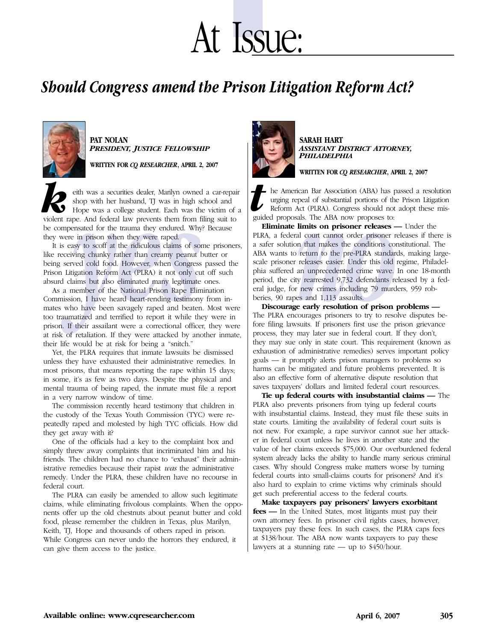# At Issue:

# **Should Congress amend the Prison Litigation Reform Act?**



**PAT NOLAN** *PRESIDENT, JUSTICE FELLOWSHIP*

**WRITTEN FOR** *CQ RESEARCHER***, APRIL 2, 2007**

eith was a securities dealer, Marilyn owned a car-repair<br>
shop with her husband, TJ was in high school and<br>
Hope was a college student. Each was the victim of a<br>
violent rape. And federal law prevents them from filing suit shop with her husband, TJ was in high school and Hope was a college student. Each was the victim of a be compensated for the trauma they endured. Why? Because they were in prison when they were raped.

in prison when they were raped.<br>y to scoff at the ridiculous claims of some<br>ng chunky rather than creamy peanut but<br>ed cold food. However, when Congress p<br>ation Reform Act (PLRA) it not only cut of<br>ms but also eliminated m It is easy to scoff at the ridiculous claims of some prisoners, like receiving chunky rather than creamy peanut butter or being served cold food. However, when Congress passed the Prison Litigation Reform Act (PLRA) it not only cut off such absurd claims but also eliminated many legitimate ones.

As a member of the National Prison Rape Elimination Commission, I have heard heart-rending testimony from inmates who have been savagely raped and beaten. Most were too traumatized and terrified to report it while they were in prison. If their assailant were a correctional officer, they were at risk of retaliation. If they were attacked by another inmate, their life would be at risk for being a "snitch."

Yet, the PLRA requires that inmate lawsuits be dismissed unless they have exhausted their administrative remedies. In most prisons, that means reporting the rape within 15 days; in some, it's as few as two days. Despite the physical and mental trauma of being raped, the inmate must file a report in a very narrow window of time.

The commission recently heard testimony that children in the custody of the Texas Youth Commission (TYC) were repeatedly raped and molested by high TYC officials. How did they get away with it?

One of the officials had a key to the complaint box and simply threw away complaints that incriminated him and his friends. The children had no chance to "exhaust" their administrative remedies because their rapist *was* the administrative remedy. Under the PLRA, these children have no recourse in federal court.

The PLRA can easily be amended to allow such legitimate claims, while eliminating frivolous complaints. When the opponents offer up the old chestnuts about peanut butter and cold food, please remember the children in Texas, plus Marilyn, Keith, TJ, Hope and thousands of others raped in prison. While Congress can never undo the horrors they endured, it can give them access to the justice.



**SARAH HART** *ASSISTANT DISTRICT ATTORNEY, PHILADELPHIA*

**WRITTEN FOR** *CQ RESEARCHER***, APRIL 2, 2007**

**the American Bar Association (ABA) has**<br>
urging repeal of substantial portions of the Reform Act (PLRA). Congress should not<br>
guided proposals. The ABA now proposes to: he American Bar Association (ABA) has passed a resolution urging repeal of substantial portions of the Prison Litigation Reform Act (PLRA). Congress should not adopt these mis-

court cannot order prisoner relevant<br>that makes the conditions cons<br>return to the pre-PLRA standards<br>eleases easier. Under this old re<br>nuprecedented crime wave. In<br>rearrested 9,732 defendants relevant relevant crimes inclu **Eliminate limits on prisoner releases —** Under the PLRA, a federal court cannot order prisoner releases if there is a safer solution that makes the conditions constitutional. The ABA wants to return to the pre-PLRA standards, making largescale prisoner releases easier. Under this old regime, Philadelphia suffered an unprecedented crime wave. In one 18-month period, the city rearrested 9,732 defendants released by a federal judge, for new crimes including 79 murders, 959 robberies, 90 rapes and 1,113 assaults.

**Discourage early resolution of prison problems —** The PLRA encourages prisoners to try to resolve disputes before filing lawsuits. If prisoners first use the prison grievance process, they may later sue in federal court. If they don't, they may sue only in state court. This requirement (known as exhaustion of administrative remedies) serves important policy goals — it promptly alerts prison managers to problems so harms can be mitigated and future problems prevented. It is also an effective form of alternative dispute resolution that saves taxpayers' dollars and limited federal court resources.

**Tie up federal courts with insubstantial claims —** The PLRA also prevents prisoners from tying up federal courts with insubstantial claims. Instead, they must file these suits in state courts. Limiting the availability of federal court suits is not new. For example, a rape survivor cannot sue her attacker in federal court unless he lives in another state and the value of her claims exceeds \$75,000. Our overburdened federal system already lacks the ability to handle many serious criminal cases. Why should Congress make matters worse by turning federal courts into small-claims courts for prisoners? And it's also hard to explain to crime victims why criminals should get such preferential access to the federal courts.

**Make taxpayers pay prisoners' lawyers exorbitant fees** — In the United States, most litigants must pay their own attorney fees. In prisoner civil rights cases, however, taxpayers pay these fees. In such cases, the PLRA caps fees at \$138/hour. The ABA now wants taxpayers to pay these lawyers at a stunning rate — up to \$450/hour.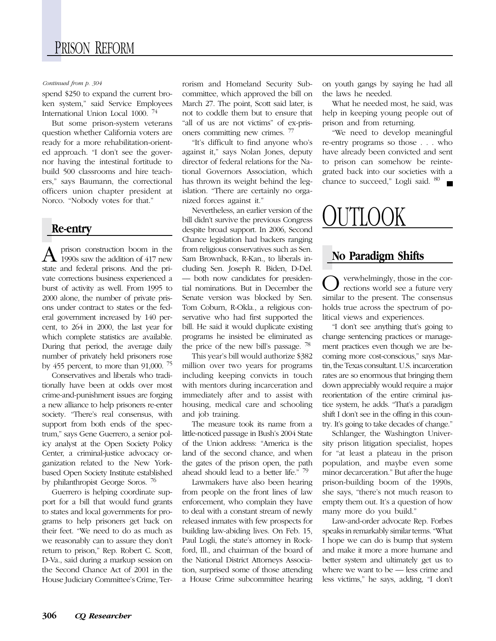#### *Continued from p. 304*

spend \$250 to expand the current broken system," said Service Employees International Union Local 1000. <sup>74</sup>

But some prison-system veterans question whether California voters are ready for a more rehabilitation-oriented approach. "I don't see the governor having the intestinal fortitude to build 500 classrooms and hire teachers," says Baumann, the correctional officers union chapter president at Norco. "Nobody votes for that."

# **Re-entry**

 $A$  prison construction boom in the 1990s saw the addition of 417 new state and federal prisons. And the private corrections business experienced a burst of activity as well. From 1995 to 2000 alone, the number of private prisons under contract to states or the federal government increased by 140 percent, to 264 in 2000, the last year for which complete statistics are available. During that period, the average daily number of privately held prisoners rose by 455 percent, to more than 91,000. <sup>75</sup>

Conservatives and liberals who traditionally have been at odds over most crime-and-punishment issues are forging a new alliance to help prisoners re-enter society. "There's real consensus, with support from both ends of the spectrum," says Gene Guerrero, a senior policy analyst at the Open Society Policy Center, a criminal-justice advocacy organization related to the New Yorkbased Open Society Institute established by philanthropist George Soros. <sup>76</sup>

Guerrero is helping coordinate support for a bill that would fund grants to states and local governments for programs to help prisoners get back on their feet. "We need to do as much as we reasonably can to assure they don't return to prison," Rep. Robert C. Scott, D-Va., said during a markup session on the Second Chance Act of 2001 in the House Judiciary Committee's Crime, Terrorism and Homeland Security Subcommittee, which approved the bill on March 27. The point, Scott said later, is not to coddle them but to ensure that "all of us are not victims" of ex-prisoners committing new crimes. <sup>77</sup>

"It's difficult to find anyone who's against it," says Nolan Jones, deputy director of federal relations for the National Governors Association, which has thrown its weight behind the legislation. "There are certainly no organized forces against it."

Nevertheless, an earlier version of the bill didn't survive the previous Congress despite broad support. In 2006, Second Chance legislation had backers ranging from religious conservatives such as Sen. Sam Brownback, R-Kan., to liberals including Sen. Joseph R. Biden, D-Del. — both now candidates for presidential nominations. But in December the Senate version was blocked by Sen. Tom Coburn, R-Okla., a religious conservative who had first supported the bill. He said it would duplicate existing programs he insisted be eliminated as the price of the new bill's passage. <sup>78</sup>

This year's bill would authorize \$382 million over two years for programs including keeping convicts in touch with mentors during incarceration and immediately after and to assist with housing, medical care and schooling and job training.

The measure took its name from a little-noticed passage in Bush's 2004 State of the Union address: "America is the land of the second chance, and when the gates of the prison open, the path ahead should lead to a better life." <sup>79</sup>

Lawmakers have also been hearing from people on the front lines of law enforcement, who complain they have to deal with a constant stream of newly released inmates with few prospects for building law-abiding lives. On Feb. 15, Paul Logli, the state's attorney in Rockford, Ill., and chairman of the board of the National District Attorneys Association, surprised some of those attending a House Crime subcommittee hearing on youth gangs by saying he had all the laws he needed.

What he needed most, he said, was help in keeping young people out of prison and from returning.

"We need to develop meaningful re-entry programs so those . . . who have already been convicted and sent to prison can somehow be reintegrated back into our societies with a chance to succeed," Logli said. <sup>80</sup>  $\blacksquare$ 

# <u>outlook</u>

# **No Paradigm Shifts**

verwhelmingly, those in the corrections world see a future very similar to the present. The consensus holds true across the spectrum of political views and experiences.

"I don't see anything that's going to change sentencing practices or management practices even though we are becoming more cost-conscious," says Martin, the Texas consultant. U.S. incarceration rates are so enormous that bringing them down appreciably would require a major reorientation of the entire criminal justice system, he adds. "That's a paradigm shift I don't see in the offing in this country. It's going to take decades of change."

Schlanger, the Washington University prison litigation specialist, hopes for "at least a plateau in the prison population, and maybe even some minor decarceration." But after the huge prison-building boom of the 1990s, she says, "there's not much reason to empty them out. It's a question of how many more do you build."

Law-and-order advocate Rep. Forbes speaks in remarkably similar terms. "What I hope we can do is bump that system and make it more a more humane and better system and ultimately get us to where we want to be — less crime and less victims," he says, adding, "I don't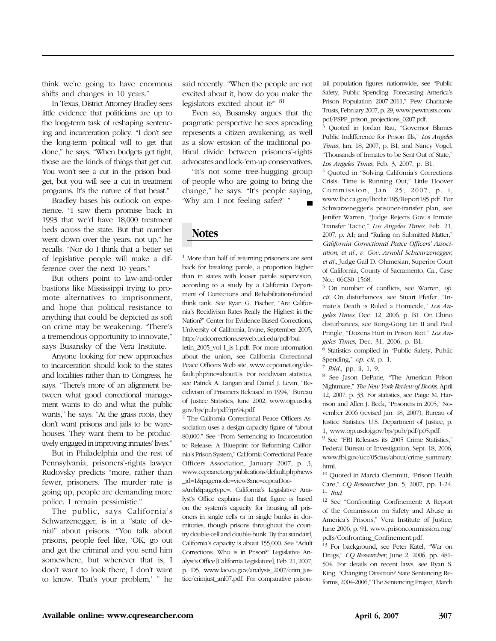think we're going to have enormous shifts and changes in 10 years."

In Texas, District Attorney Bradley sees little evidence that politicians are up to the long-term task of reshaping sentencing and incarceration policy. "I don't see the long-term political will to get that done," he says. "When budgets get tight, those are the kinds of things that get cut. You won't see a cut in the prison budget, but you will see a cut in treatment programs. It's the nature of that beast."

Bradley bases his outlook on experience. "I saw them promise back in 1993 that we'd have 18,000 treatment beds across the state. But that number went down over the years, not up," he recalls. "Nor do I think that a better set of legislative people will make a difference over the next 10 years."

But others point to law-and-order bastions like Mississippi trying to promote alternatives to imprisonment, and hope that political resistance to anything that could be depicted as soft on crime may be weakening. "There's a tremendous opportunity to innovate," says Busansky of the Vera Institute.

Anyone looking for new approaches to incarceration should look to the states and localities rather than to Congress, he says. "There's more of an alignment between what good correctional management wants to do and what the public wants," he says. "At the grass roots, they don't want prisons and jails to be warehouses. They want them to be productively engaged in improving inmates' lives."

But in Philadelphia and the rest of Pennsylvania, prisoners'-rights lawyer Rudovsky predicts "more, rather than fewer, prisoners. The murder rate is going up, people are demanding more police. I remain pessimistic."

The public, says California's Schwarzenegger, is in a "state of denial" about prisons. "You talk about prisons, people feel like, 'OK, go out and get the criminal and you send him somewhere, but wherever that is, I don't want to look there, I don't want to know. That's your problem,' " he

said recently. "When the people are not excited about it, how do you make the legislators excited about it?" <sup>81</sup>

Even so, Busansky argues that the pragmatic perspective he sees spreading represents a citizen awakening, as well as a slow erosion of the traditional political divide between prisoners'-rights advocates and lock-'em-up conservatives.

"It's not some tree-hugging group of people who are going to bring the change," he says. "It's people saying, 'Why am I not feeling safer?' "

# **Notes**

 $<sup>1</sup>$  More than half of returning prisoners are sent</sup> back for breaking parole, a proportion higher than in states with looser parole supervision, according to a study by a California Department of Corrections and Rehabilitation-funded think tank. See Ryan G. Fischer, "Are California's Recidivism Rates Really the Highest in the Nation?" Center for Evidence-Based Corrections, University of California, Irvine, September 2005, http://ucicorrections.seweb.uci.edu/pdf/bul-

letin\_2005\_vol-1\_is-1.pdf. For more information about the union, see California Correctional Peace Officers Web site, www.ccpoanet.org/default.php?inc=aboutUs. For recidivism statistics, see Patrick A. Langan and Daniel J. Levin, "Recidivism of Prisoners Released in 1994," Bureau of Justice Statistics, June 2002, www.ojp.usdoj. gov/bjs/pub/pdf/rpr94.pdf.

<sup>2</sup> The California Correctional Peace Officers Association uses a design capacity figure of "about 80,000." See "From Sentencing to Incarceration to Release: A Blueprint for Reforming California's Prison System," California Correctional Peace Officers Association, January 2007, p. 3, www.ccpoanet.org/publications/default.php?news \_id=1&pagemode=view&inc=ccpoaDoc-

sArch&pagetype=. California's Legislative Analyst's Office explains that that figure is based on the system's capacity for housing all prisoners in single cells or in single bunks in dormitories, though prisons throughout the country double-cell and double-bunk. By that standard, California's capacity is about 155,000. See "Adult Corrections: Who is in Prison?" Legislative Analyst's Office [California Legislature], Feb. 21, 2007, p. D5, www.lao.ca.gov/analysis\_2007/crim\_justice/crimjust\_anl07.pdf. For comparative prisonjail population figures nationwide, see "Public Safety, Public Spending: Forecasting America's Prison Population 2007-2011," Pew Charitable Trusts, February 2007, p. 29, www.pewtrusts.com/ pdf/PSPP\_prison\_projections\_0207.pdf.

<sup>3</sup> Quoted in Jordan Rau, "Governor Blames Public Indifference for Prison Ills," *Los Angeles Times*, Jan. 18, 2007, p. B1, and Nancy Vogel, "Thousands of Inmates to be Sent Out of State," *Los Angeles Times*, Feb. 3, 2007, p. B1.

<sup>4</sup> Quoted in "Solving California's Corrections Crisis: Time is Running Out," Little Hoover Commission, Jan. 25, 2007, p. i, www.lhc.ca.gov/lhcdir/185/Report185.pdf. For Schwarzenegger's prisoner-transfer plan, see Jenifer Warren, "Judge Rejects Gov.'s Inmate Transfer Tactic," *Los Angeles Times*, Feb. 21, 2007, p. A1; and "Ruling on Submitted Matter," *California Correctional Peace Officers' Association, et al.*, *v. Gov. Arnold Schwarzenegger, et al.*, Judge Gail D. Ohanesian, Superior Court of California, County of Sacramento, Ca., Case No.: 06CS0 1568.

<sup>5</sup> On number of conflicts, see Warren, *op. cit.* On disturbances, see Stuart Pfeifer, "Inmate's Death is Ruled a Homicide," *Los Angeles Times*, Dec. 12, 2006, p. B1. On Chino disturbances, see Rong-Gong Lin II and Paul Pringle, "Dozens Hurt in Prison Riot," *Los Angeles Times*, Dec. 31, 2006, p. B1.

<sup>6</sup> Statistics compiled in "Public Safety, Public Spending," *op. cit*, p. 1.

<sup>7</sup> *Ibid.*, pp. ii, 1, 9.

<sup>8</sup> See Jason DeParle, "The American Prison Nightmare," *The New York Review of Books*, April 12, 2007, p. 33. For statistics, see Paige M. Harrison and Allen J. Beck, "Prisoners in 2005," November 2006 (revised Jan. 18, 2007), Bureau of Justice Statistics, U.S. Department of Justice, p. 1, www.ojp.usdoj.gov/bjs/pub/pdf/p05.pdf.

<sup>9</sup> See "FBI Releases its 2005 Crime Statistics," Federal Bureau of Investigation, Sept. 18, 2006, www.fbi.gov/ucr/05cius/about/crime\_summary. html.

<sup>10</sup> Quoted in Marcia Clemmitt, "Prison Health Care," *CQ Researcher*, Jan. 5, 2007, pp. 1-24. <sup>11</sup> *Ibid.*

<sup>12</sup> See "Confronting Confinement: A Report of the Commission on Safety and Abuse in America's Prisons," Vera Institute of Justice, June 2006, p. 91, www.prisoncommission.org/ pdfs/Confronting\_Confinement.pdf.

<sup>13</sup> For background, see Peter Katel, "War on Drugs," *CQ Researcher*, June 2, 2006, pp. 481- 504. For details on recent laws, see Ryan S. King, "Changing Direction? State Sentencing Reforms, 2004-2006," The Sentencing Project, March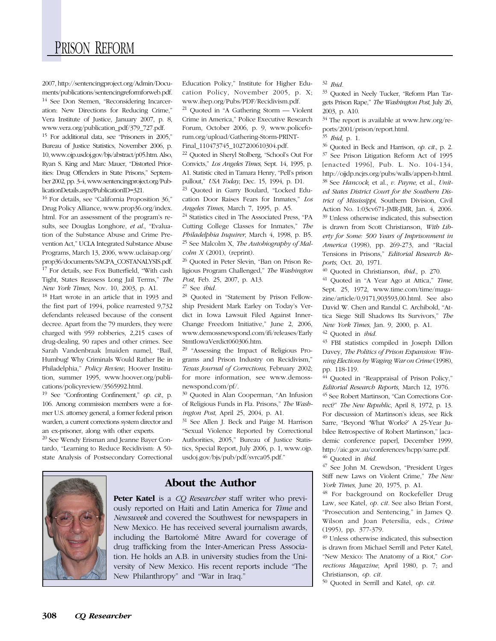# PRISON REFORM

2007, http://sentencingproject.org/Admin/Documents/publications/sentencingreformforweb.pdf. <sup>14</sup> See Don Stemen, "Reconsidering Incarceration: New Directions for Reducing Crime," Vera Institute of Justice, January 2007, p. 8, www.vera.org/publication\_pdf/379\_727.pdf.

<sup>15</sup> For additional data, see "Prisoners in 2005," Bureau of Justice Statistics, November 2006, p. 10, www.ojp.usdoj.gov/bjs/abstract/p05.htm. Also, Ryan S. King and Marc Mauer, "Distorted Priorities: Drug Offenders in State Prisons," September 2002, pp. 3-4, www.sentencingproject.org/PublicationDetails.aspx?PublicationID=321.

<sup>16</sup> For details, see "California Proposition 36," Drug Policy Alliance, www.prop36.org/index. html. For an assessment of the program's results, see Douglas Longhore, *et al.*, "Evaluation of the Substance Abuse and Crime Prevention Act," UCLA Integrated Substance Abuse Programs, March 13, 2006, www.uclaisap.org/ prop36/documents/SACPA\_COSTANALYSIS.pdf. <sup>17</sup> For details, see Fox Butterfield, "With cash Tight, States Reassess Long Jail Terms," *The New York Times*, Nov. 10, 2003, p. A1.

<sup>18</sup> Hart wrote in an article that in 1993 and the first part of 1994, police rearrested 9,732 defendants released because of the consent decree. Apart from the 79 murders, they were charged with 959 robberies, 2,215 cases of drug-dealing, 90 rapes and other crimes. See Sarah Vandenbraak [maiden name], "Bail, Humbug! Why Criminals Would Rather Be in Philadelphia," *Policy Review*, Hoover Institution, summer 1995, www.hoover.org/publications/policyreview/3565992.html.

<sup>19</sup> See "Confronting Confinement," *op. cit.*, p. 106. Among commission members were a former U.S. attorney general, a former federal prison warden, a current corrections system director and an ex-prisoner, along with other experts.

<sup>20</sup> See Wendy Erisman and Jeanne Bayer Contardo, "Learning to Reduce Recidivism: A 50 state Analysis of Postsecondary Correctional Education Policy," Institute for Higher Education Policy, November 2005, p. X; www.ihep.org/Pubs/PDF/Recidivism.pdf. <sup>21</sup> Quoted in "A Gathering Storm — Violent Crime in America," Police Executive Research Forum, October 2006, p. 9, www.policeforum.org/upload/Gathering-Storm-PRINT-Final\_110473745\_1027200610304.pdf.

<sup>22</sup> Quoted in Sheryl Stolberg, "School's Out For Convicts," *Los Angeles Times*, Sept. 14, 1995, p. A1. Statistic cited in Tamara Henry, "Pell's prison pullout," *USA Today*, Dec. 15, 1994, p. D1.

<sup>23</sup> Quoted in Garry Boulard, "Locked Education Door Raises Fears for Inmates," *Los Angeles Times*, March 7, 1995, p. A5.

<sup>24</sup> Statistics cited in The Associated Press, "PA Cutting College Classes for Inmates," *The Philadelphia Inquirer*, March 4, 1998, p. B5. <sup>25</sup> See Malcolm X, *The Autobiography of Malcolm X* (2001), (reprint).

<sup>26</sup> Quoted in Peter Slevin, "Ban on Prison Religious Program Challenged," *The Washington Post*, Feb. 25, 2007, p. A13.

<sup>27</sup> See *ibid.*

<sup>28</sup> Quoted in "Statement by Prison Fellowship President Mark Earley on Today's Verdict in Iowa Lawsuit Filed Against Inner-Change Freedom Initiative," June 2, 2006, www.demossnewspond.com/ifi/releases/Early StmtIowaVerdict060306.htm.

 $29$  "Assessing the Impact of Religious Programs and Prison Industry on Recidivism," *Texas Journal of Corrections*, February 2002; for more information, see www.demossnewspond.com/pf/.

<sup>30</sup> Quoted in Alan Cooperman, "An Infusion of Religious Funds in Fla. Prisons," *The Washington Post*, April 25, 2004, p. A1.

<sup>31</sup> See Allen J. Beck and Paige M. Harrison "Sexual Violence Reported by Correctional Authorities, 2005," Bureau of Justice Statistics, Special Report, July 2006, p. 1, www.ojp. usdoj.gov/bjs/pub/pdf/svrca05.pdf."



## **About the Author**

**Peter Katel** is a *CQ Researcher* staff writer who previously reported on Haiti and Latin America for *Time* and *Newsweek* and covered the Southwest for newspapers in New Mexico. He has received several journalism awards, including the Bartolomé Mitre Award for coverage of drug trafficking from the Inter-American Press Association. He holds an A.B. in university studies from the University of New Mexico. His recent reports include "The New Philanthropy" and "War in Iraq."

#### <sup>32</sup> *Ibid.*

<sup>33</sup> Quoted in Neely Tucker, "Reform Plan Targets Prison Rape," *The Washington Post*, July 26, 2003, p. A10.

 $34$  The report is available at www.hrw.org/reports/2001/prison/report.html.

<sup>35</sup> *Ibid*, p. 1.

<sup>36</sup> Quoted in Beck and Harrison, *op. cit.*, p. 2. <sup>37</sup> See Prison Litigation Reform Act of 1995 [enacted 1996], Pub. L. No. 104-134, http://ojjdp.ncjrs.org/pubs/walls/appen-b.html. <sup>38</sup> See *Hancock*, et al., *v. Payne*, et al., *United States District Court for the Southern District of Mississippi*, Southern Division, Civil Action No. 1:03cv671-JMR-JMR, Jan. 4, 2006. <sup>39</sup> Unless otherwise indicated, this subsection is drawn from Scott Christianson, *With Liberty for Some: 500 Years of Imprisonment in America* (1998), pp. 269-273, and "Racial Tensions in Prisons," *Editorial Research Reports*, Oct. 20, 1971.

<sup>40</sup> Quoted in Christianson, *ibid.*, p. 270.

<sup>41</sup> Quoted in "A Year Ago at Attica," *Time*, Sept. 25, 1972, www.time.com/time/magazine/article/0,9171,903593,00.html. See also David W. Chen and Randal C. Archibold, "Attica Siege Still Shadows Its Survivors," *The New York Times*, Jan. 9, 2000, p. A1. <sup>42</sup> Quoted in *ibid.*

<sup>43</sup> FBI statistics compiled in Joseph Dillon Davey, *The Politics of Prison Expansion: Winning Elections by Waging War on Crime* (1998), pp. 118-119.

<sup>44</sup> Quoted in "Reappraisal of Prison Policy," *Editorial Research Reports*, March 12, 1976. <sup>45</sup> See Robert Martinson, "Can Corrections Correct?" *The New Republic*, April 8, 1972, p. 13. For discussion of Martinson's ideas, see Rick Sarre, "Beyond 'What Works?' A 25-Year Jubilee Retrospective of Robert Martinson," [academic conference paper], December 1999, http://aic.gov.au/conferences/hcpp/sarre.pdf. <sup>46</sup> Quoted in *ibid.*

<sup>47</sup> See John M. Crewdson, "President Urges Stiff new Laws on Violent Crime," *The New York Times*, June 20, 1975, p. A1.

<sup>48</sup> For background on Rockefeller Drug Law, see Katel, *op. cit.* See also Brian Forst, "Prosecution and Sentencing," in James Q. Wilson and Joan Petersilia, eds., *Crime* (1995), pp. 377-379.

<sup>49</sup> Unless otherwise indicated, this subsection is drawn from Michael Serrill and Peter Katel, "New Mexico: The Anatomy of a Riot," *Corrections Magazine*, April 1980, p. 7; and Christianson, *op. cit.*

<sup>50</sup> Quoted in Serrill and Katel, *op. cit.*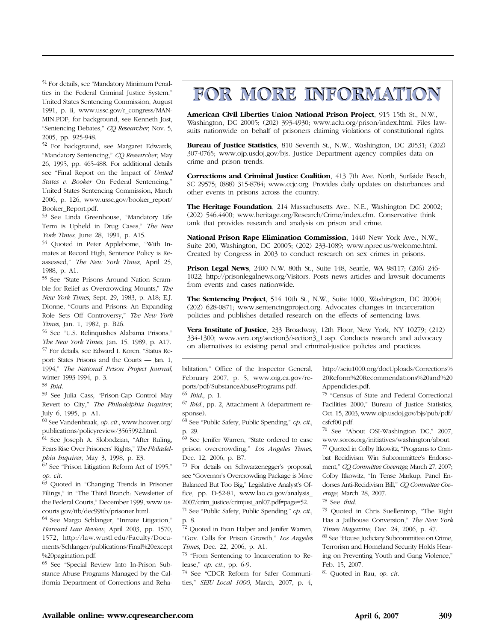<sup>51</sup> For details, see "Mandatory Minimum Penalties in the Federal Criminal Justice System," United States Sentencing Commission, August 1991, p. ii, www.ussc.gov/r\_congress/MAN-MIN.PDF; for background, see Kenneth Jost, "Sentencing Debates," *CQ Researcher*, Nov. 5, 2005, pp. 925-948.

<sup>52</sup> For background, see Margaret Edwards, "Mandatory Sentencing," *CQ Researcher*, May 26, 1995, pp. 465-488. For additional details see "Final Report on the Impact of *United States v. Booker* On Federal Sentencing," United States Sentencing Commission, March 2006, p. 126, www.ussc.gov/booker\_report/ Booker\_Report.pdf.

<sup>53</sup> See Linda Greenhouse, "Mandatory Life Term is Upheld in Drug Cases," *The New York Times*, June 28, 1991, p. A15.

<sup>54</sup> Quoted in Peter Applebome, "With Inmates at Record High, Sentence Policy is Reassessed," *The New York Times*, April 25, 1988, p. A1.

<sup>55</sup> See "State Prisons Around Nation Scramble for Relief as Overcrowding Mounts," *The New York Times*, Sept. 29, 1983, p. A18; E.J. Dionne, "Courts and Prisons: An Expanding Role Sets Off Controversy," *The New York Times*, Jan. 1, 1982, p. B26.

<sup>56</sup> See "U.S. Relinquishes Alabama Prisons," *The New York Times*, Jan. 15, 1989, p. A17. <sup>57</sup> For details, see Edward I. Koren, "Status Report: States Prisons and the Courts — Jan. 1, 1994," *The National Prison Project Journal*, winter 1993-1994, p. 3.

<sup>58</sup> *Ibid.*

<sup>59</sup> See Julia Cass, "Prison-Cap Control May Revert to City," *The Philadelphia Inquirer*, July 6, 1995, p. A1.

<sup>60</sup> See Vandenbraak, *op. cit.*, www.hoover.org/ publications/policyreview/3565992.html.

<sup>61</sup> See Joseph A. Slobodzian, "After Ruling, Fears Rise Over Prisoners' Rights," *The Philadelphia Inquirer*, May 3, 1998, p. E3.

 $62$  See "Prison Litigation Reform Act of 1995," *op. cit.*

<sup>63</sup> Quoted in "Changing Trends in Prisoner Filings," in "The Third Branch: Newsletter of the Federal Courts," December 1999, www.uscourts.gov/ttb/dec99ttb/prisoner.html.

<sup>64</sup> See Margo Schlanger, "Inmate Litigation," *Harvard Law Review*, April 2003, pp. 1570, 1572, http://law.wustl.edu/Faculty/Documents/Schlanger/publications/Final%20except %20pagination.pdf.

<sup>65</sup> See "Special Review Into In-Prison Substance Abuse Programs Managed by the California Department of Corrections and Reha-

# **FOR MORE INFORMATION FOR MORE INFORMATION**

**American Civil Liberties Union National Prison Project**, 915 15th St., N.W., Washington, DC 20005; (202) 393-4930; www.aclu.org/prison/index.html. Files lawsuits nationwide on behalf of prisoners claiming violations of constitutional rights.

**Bureau of Justice Statistics**, 810 Seventh St., N.W., Washington, DC 20531; (202) 307-0765; www.ojp.usdoj.gov/bjs. Justice Department agency compiles data on crime and prison trends.

**Corrections and Criminal Justice Coalition**, 413 7th Ave. North, Surfside Beach, SC 29575; (888) 315-8784; www.ccjc.org. Provides daily updates on disturbances and other events in prisons across the country.

**The Heritage Foundation**, 214 Massachusetts Ave., N.E., Washington DC 20002; (202) 546.4400; www.heritage.org/Research/Crime/index.cfm. Conservative think tank that provides research and analysis on prison and crime.

**National Prison Rape Elimination Commission**, 1440 New York Ave., N.W., Suite 200, Washington, DC 20005; (202) 233-1089; www.nprec.us/welcome.html. Created by Congress in 2003 to conduct research on sex crimes in prisons.

**Prison Legal News**, 2400 N.W. 80th St., Suite 148, Seattle, WA 98117; (206) 246- 1022; http://prisonlegalnews.org/Visitors. Posts news articles and lawsuit documents from events and cases nationwide.

**The Sentencing Project**, 514 10th St., N.W., Suite 1000, Washington, DC 20004; (202) 628-0871; www.sentencingproject.org. Advocates changes in incarceration policies and publishes detailed research on the effects of sentencing laws.

**Vera Institute of Justice**, 233 Broadway, 12th Floor, New York, NY 10279; (212) 334-1300; www.vera.org/section3/section3\_1.asp. Conducts research and advocacy on alternatives to existing penal and criminal-justice policies and practices.

bilitation," Office of the Inspector General, February 2007, p. 5, www.oig.ca.gov/reports/pdf/SubstanceAbusePrograms.pdf. <sup>66</sup> *Ibid.*, p. 1.

<sup>67</sup> *Ibid.*, pp. 2, Attachment A (department response).

<sup>68</sup> See "Public Safety, Public Spending," *op. cit.*, p. 29.

<sup>69</sup> See Jenifer Warren, "State ordered to ease prison overcrowding," *Los Angeles Times*, Dec. 12, 2006, p. B7.

<sup>70</sup> For details on Schwarzenegger's proposal, see "Governor's Overcrowding Package is More Balanced But Too Big," Legislative Analyst's Office, pp. D-52-81, www.lao.ca.gov/analysis\_ 2007/crim\_justice/crimjust\_anl07.pdf#page=52.

<sup>71</sup> See "Public Safety, Public Spending," *op. cit.*, p. 8.

<sup>72</sup> Quoted in Evan Halper and Jenifer Warren, "Gov. Calls for Prison Growth," *Los Angeles Times*, Dec. 22, 2006, p. A1.

<sup>73</sup> "From Sentencing to Incarceration to Release," *op. cit.*, pp. 6-9.

<sup>74</sup> See "CDCR Reform for Safer Communities," *SEIU Local 1000*, March, 2007, p. 4, http://seiu1000.org/docUploads/Corrections% 20Reform%20Recommendations%20and%20 Appendicies.pdf.

<sup>75</sup> "Census of State and Federal Correctional Facilities 2000," Bureau of Justice Statistics, Oct. 15, 2003, www.ojp.usdoj.gov/bjs/pub/pdf/ csfcf00.pdf.

<sup>76</sup> See "About OSI-Washington DC," 2007, www.soros.org/initiatives/washington/about. <sup>77</sup> Quoted in Colby Itkowitz, "Programs to Combat Recidivism Win Subcommittee's Endorsement," *CQ Committee Coverage*, March 27, 2007; Colby Itkowitz, "In Tense Markup, Panel Endorses Anti-Recidivism Bill," *CQ Committee Coverage*, March 28, 2007.

<sup>78</sup> See *ibid.*

<sup>79</sup> Quoted in Chris Suellentrop, "The Right Has a Jailhouse Conversion," *The New York Times Magazine*, Dec. 24, 2006, p. 47.

<sup>80</sup> See "House Judiciary Subcommittee on Crime, Terrorism and Homeland Security Holds Hearing on Preventing Youth and Gang Violence," Feb. 15, 2007.

<sup>81</sup> Quoted in Rau, *op. cit.*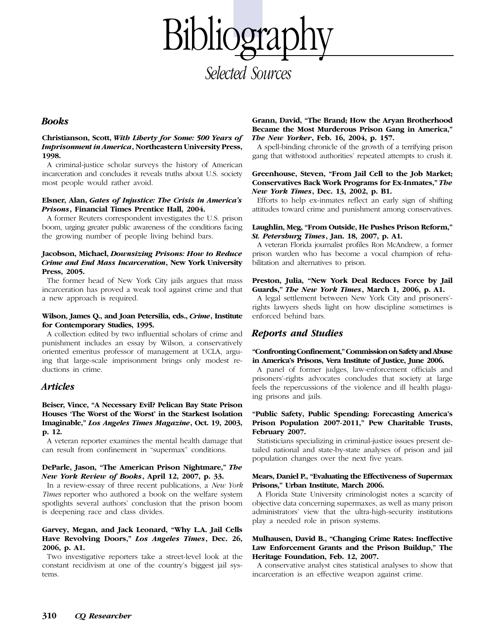Bibliograp

*Selected Sources*

#### *Books*

#### **Christianson, Scott,** *With Liberty for Some: 500 Years of Imprisonment in America***, Northeastern University Press, 1998.**

A criminal-justice scholar surveys the history of American incarceration and concludes it reveals truths about U.S. society most people would rather avoid.

#### **Elsner, Alan,** *Gates of Injustice: The Crisis in America's Prisons***, Financial Times Prentice Hall, 2004.**

A former Reuters correspondent investigates the U.S. prison boom, urging greater public awareness of the conditions facing the growing number of people living behind bars.

#### **Jacobson, Michael,** *Downsizing Prisons: How to Reduce Crime and End Mass Incarceration***, New York University Press, 2005.**

The former head of New York City jails argues that mass incarceration has proved a weak tool against crime and that a new approach is required.

#### **Wilson, James Q., and Joan Petersilia, eds.,** *Crime***, Institute for Contemporary Studies, 1995.**

A collection edited by two influential scholars of crime and punishment includes an essay by Wilson, a conservatively oriented emeritus professor of management at UCLA, arguing that large-scale imprisonment brings only modest reductions in crime.

#### *Articles*

#### **Beiser, Vince, "A Necessary Evil? Pelican Bay State Prison Houses 'The Worst of the Worst' in the Starkest Isolation Imaginable,"** *Los Angeles Times Magazine***, Oct. 19, 2003, p. 12.**

A veteran reporter examines the mental health damage that can result from confinement in "supermax" conditions.

#### **DeParle, Jason, "The American Prison Nightmare,"** *The New York Review of Books***, April 12, 2007, p. 33.**

In a review-essay of three recent publications, a *New York Times* reporter who authored a book on the welfare system spotlights several authors' conclusion that the prison boom is deepening race and class divides.

#### **Garvey, Megan, and Jack Leonard, "Why L.A. Jail Cells Have Revolving Doors,"** *Los Angeles Times***, Dec. 26, 2006, p. A1.**

Two investigative reporters take a street-level look at the constant recidivism at one of the country's biggest jail systems.

#### **Grann, David, "The Brand; How the Aryan Brotherhood Became the Most Murderous Prison Gang in America,"** *The New Yorker***, Feb. 16, 2004, p. 157.**

A spell-binding chronicle of the growth of a terrifying prison gang that withstood authorities' repeated attempts to crush it.

#### **Greenhouse, Steven, "From Jail Cell to the Job Market; Conservatives Back Work Programs for Ex-Inmates,"** *The New York Times***, Dec. 13, 2002, p. B1.**

Efforts to help ex-inmates reflect an early sign of shifting attitudes toward crime and punishment among conservatives.

#### **Laughlin, Meg, "From Outside, He Pushes Prison Reform,"** *St. Petersburg Times***, Jan. 18, 2007, p. A1.**

A veteran Florida journalist profiles Ron McAndrew, a former prison warden who has become a vocal champion of rehabilitation and alternatives to prison.

#### **Preston, Julia, "New York Deal Reduces Force by Jail Guards,"** *The New York Times***, March 1, 2006, p. A1.**

A legal settlement between New York City and prisoners' rights lawyers sheds light on how discipline sometimes is enforced behind bars.

#### *Reports and Studies*

#### **"Confronting Confinement,"Commission on Safety and Abuse in America's Prisons, Vera Institute of Justice, June 2006.**

A panel of former judges, law-enforcement officials and prisoners'-rights advocates concludes that society at large feels the repercussions of the violence and ill health plaguing prisons and jails.

#### **"Public Safety, Public Spending: Forecasting America's Prison Population 2007-2011," Pew Charitable Trusts, February 2007.**

Statisticians specializing in criminal-justice issues present detailed national and state-by-state analyses of prison and jail population changes over the next five years.

#### **Mears, Daniel P., "Evaluating the Effectiveness of Supermax Prisons," Urban Institute, March 2006.**

A Florida State University criminologist notes a scarcity of objective data concerning supermaxes, as well as many prison administrators' view that the ultra-high-security institutions play a needed role in prison systems.

#### **Mulhausen, David B., "Changing Crime Rates: Ineffective Law Enforcement Grants and the Prison Buildup," The Heritage Foundation, Feb. 12, 2007.**

A conservative analyst cites statistical analyses to show that incarceration is an effective weapon against crime.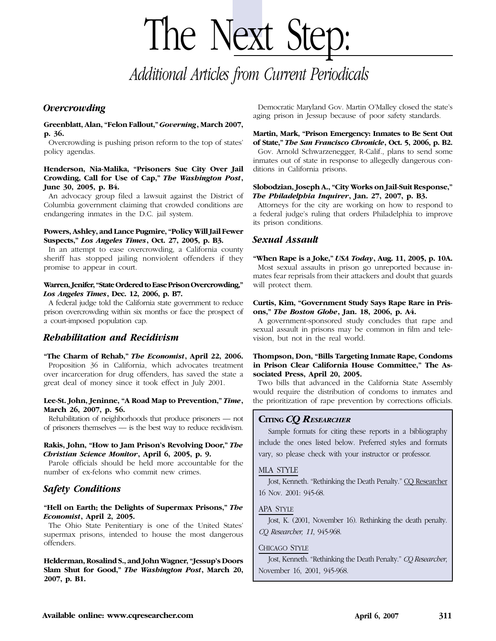# The Next Step:

*Additional Articles from Current Periodicals*

### *Overcrowding*

#### **Greenblatt, Alan, "Felon Fallout,"** *Governing***, March 2007, p. 36.**

Overcrowding is pushing prison reform to the top of states' policy agendas.

#### **Henderson, Nia-Malika, "Prisoners Sue City Over Jail Crowding, Call for Use of Cap,"** *The Washington Post***, June 30, 2005, p. B4.**

An advocacy group filed a lawsuit against the District of Columbia government claiming that crowded conditions are endangering inmates in the D.C. jail system.

#### **Powers, Ashley, and Lance Pugmire, "Policy Will Jail Fewer Suspects,"** *Los Angeles Times***, Oct. 27, 2005, p. B3.**

In an attempt to ease overcrowding, a California county sheriff has stopped jailing nonviolent offenders if they promise to appear in court.

#### **Warren, Jenifer, "State Ordered to Ease Prison Overcrowding,"** *Los Angeles Times***, Dec. 12, 2006, p. B7.**

A federal judge told the California state government to reduce prison overcrowding within six months or face the prospect of a court-imposed population cap.

# *Rehabilitation and Recidivism*

#### **"The Charm of Rehab,"** *The Economist***, April 22, 2006.** Proposition 36 in California, which advocates treatment over incarceration for drug offenders, has saved the state a great deal of money since it took effect in July 2001.

#### **Lee-St. John, Jeninne, "A Road Map to Prevention,"** *Time***, March 26, 2007, p. 56.**

Rehabilitation of neighborhoods that produce prisoners — not of prisoners themselves — is the best way to reduce recidivism.

#### **Rakis, John, "How to Jam Prison's Revolving Door,"** *The Christian Science Monitor***, April 6, 2005, p. 9.**

Parole officials should be held more accountable for the number of ex-felons who commit new crimes.

# *Safety Conditions*

#### **"Hell on Earth; the Delights of Supermax Prisons,"** *The Economist***, April 2, 2005.**

The Ohio State Penitentiary is one of the United States' supermax prisons, intended to house the most dangerous offenders.

#### **Helderman, Rosalind S., and John Wagner, "Jessup's Doors Slam Shut for Good,"** *The Washington Post***, March 20, 2007, p. B1.**

Democratic Maryland Gov. Martin O'Malley closed the state's aging prison in Jessup because of poor safety standards.

#### **Martin, Mark, "Prison Emergency: Inmates to Be Sent Out of State,"** *The San Francisco Chronicle***, Oct. 5, 2006, p. B2.**

Gov. Arnold Schwarzenegger, R-Calif., plans to send some inmates out of state in response to allegedly dangerous conditions in California prisons.

#### **Slobodzian, Joseph A., "City Works on Jail-Suit Response,"** *The Philadelphia Inquirer***, Jan. 27, 2007, p. B3.**

Attorneys for the city are working on how to respond to a federal judge's ruling that orders Philadelphia to improve its prison conditions.

### *Sexual Assault*

**"When Rape is a Joke,"** *USA Today***, Aug. 11, 2005, p. 10A.** Most sexual assaults in prison go unreported because inmates fear reprisals from their attackers and doubt that guards will protect them.

#### **Curtis, Kim, "Government Study Says Rape Rare in Prisons,"** *The Boston Globe***, Jan. 18, 2006, p. A4.**

A government-sponsored study concludes that rape and sexual assault in prisons may be common in film and television, but not in the real world.

#### **Thompson, Don, "Bills Targeting Inmate Rape, Condoms in Prison Clear California House Committee," The Associated Press, April 20, 2005.**

Two bills that advanced in the California State Assembly would require the distribution of condoms to inmates and the prioritization of rape prevention by corrections officials.

### **CITING** *CQ RESEARCHER*

Sample formats for citing these reports in a bibliography include the ones listed below. Preferred styles and formats vary, so please check with your instructor or professor.

#### MLA STYLE

Jost, Kenneth. "Rethinking the Death Penalty." CQ Researcher 16 Nov. 2001: 945-68.

#### APA STYLE

Jost, K. (2001, November 16). Rethinking the death penalty. *CQ Researcher, 11*, 945-968.

#### CHICAGO STYLE

Jost, Kenneth. "Rethinking the Death Penalty." *CQ Researcher*, November 16, 2001, 945-968.